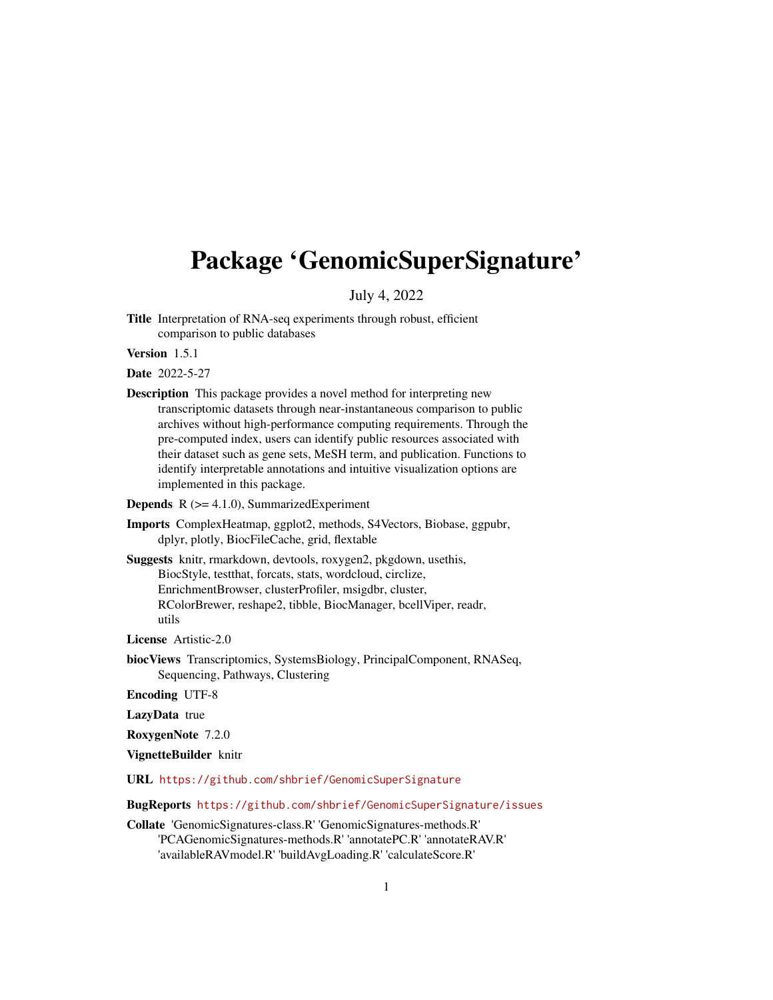# <span id="page-0-0"></span>Package 'GenomicSuperSignature'

July 4, 2022

Title Interpretation of RNA-seq experiments through robust, efficient comparison to public databases

Version 1.5.1

Date 2022-5-27

- Description This package provides a novel method for interpreting new transcriptomic datasets through near-instantaneous comparison to public archives without high-performance computing requirements. Through the pre-computed index, users can identify public resources associated with their dataset such as gene sets, MeSH term, and publication. Functions to identify interpretable annotations and intuitive visualization options are implemented in this package.
- **Depends**  $R$  ( $>= 4.1.0$ ), SummarizedExperiment
- Imports ComplexHeatmap, ggplot2, methods, S4Vectors, Biobase, ggpubr, dplyr, plotly, BiocFileCache, grid, flextable
- Suggests knitr, rmarkdown, devtools, roxygen2, pkgdown, usethis, BiocStyle, testthat, forcats, stats, wordcloud, circlize, EnrichmentBrowser, clusterProfiler, msigdbr, cluster, RColorBrewer, reshape2, tibble, BiocManager, bcellViper, readr, utils

License Artistic-2.0

biocViews Transcriptomics, SystemsBiology, PrincipalComponent, RNASeq, Sequencing, Pathways, Clustering

Encoding UTF-8

LazyData true

RoxygenNote 7.2.0

```
VignetteBuilder knitr
```
URL <https://github.com/shbrief/GenomicSuperSignature>

BugReports <https://github.com/shbrief/GenomicSuperSignature/issues>

Collate 'GenomicSignatures-class.R' 'GenomicSignatures-methods.R' 'PCAGenomicSignatures-methods.R' 'annotatePC.R' 'annotateRAV.R' 'availableRAVmodel.R' 'buildAvgLoading.R' 'calculateScore.R'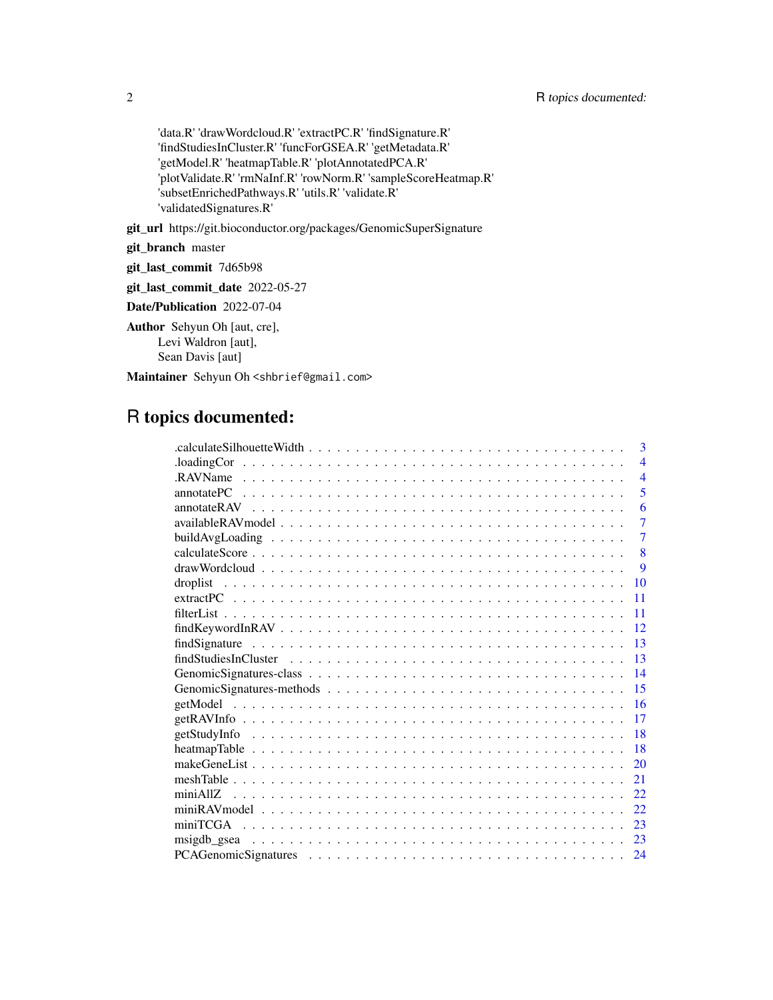'data.R' 'drawWordcloud.R' 'extractPC.R' 'findSignature.R' 'findStudiesInCluster.R' 'funcForGSEA.R' 'getMetadata.R' 'getModel.R' 'heatmapTable.R' 'plotAnnotatedPCA.R' 'plotValidate.R' 'rmNaInf.R' 'rowNorm.R' 'sampleScoreHeatmap.R' 'subsetEnrichedPathways.R' 'utils.R' 'validate.R' 'validatedSignatures.R'

git\_url https://git.bioconductor.org/packages/GenomicSuperSignature

git\_branch master

git\_last\_commit 7d65b98

git\_last\_commit\_date 2022-05-27

Date/Publication 2022-07-04

Author Sehyun Oh [aut, cre], Levi Waldron [aut], Sean Davis [aut]

Maintainer Sehyun Oh <shbrief@gmail.com>

# R topics documented:

| 3                                                                                                                    |
|----------------------------------------------------------------------------------------------------------------------|
| $\Delta$ loadingCor $\ldots \ldots \ldots \ldots \ldots \ldots \ldots \ldots \ldots \ldots \ldots$<br>$\overline{4}$ |
| $\overline{4}$                                                                                                       |
| 5                                                                                                                    |
| 6                                                                                                                    |
| $\overline{7}$                                                                                                       |
| $\overline{7}$                                                                                                       |
| 8                                                                                                                    |
| 9                                                                                                                    |
| 10<br>droplist                                                                                                       |
| 11                                                                                                                   |
| 11                                                                                                                   |
| 12                                                                                                                   |
| 13                                                                                                                   |
| 13                                                                                                                   |
| 14                                                                                                                   |
| 15                                                                                                                   |
| 16                                                                                                                   |
| 17                                                                                                                   |
| 18                                                                                                                   |
| 18                                                                                                                   |
| 20                                                                                                                   |
| 21                                                                                                                   |
| 22                                                                                                                   |
| 22                                                                                                                   |
| 23                                                                                                                   |
| 23                                                                                                                   |
| 24                                                                                                                   |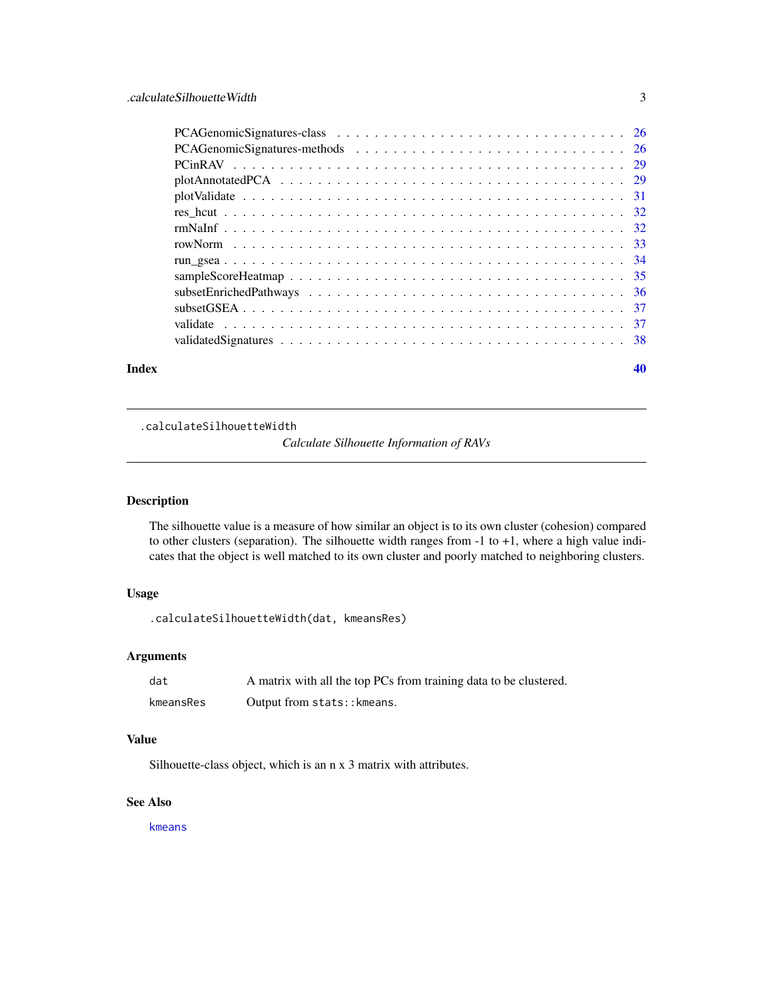<span id="page-2-0"></span>

| Index | 40 |
|-------|----|

.calculateSilhouetteWidth

*Calculate Silhouette Information of RAVs*

# Description

The silhouette value is a measure of how similar an object is to its own cluster (cohesion) compared to other clusters (separation). The silhouette width ranges from -1 to +1, where a high value indicates that the object is well matched to its own cluster and poorly matched to neighboring clusters.

# Usage

.calculateSilhouetteWidth(dat, kmeansRes)

# Arguments

| dat       | A matrix with all the top PCs from training data to be clustered. |
|-----------|-------------------------------------------------------------------|
| kmeansRes | Output from stats:: kmeans.                                       |

#### Value

Silhouette-class object, which is an n x 3 matrix with attributes.

#### See Also

[kmeans](#page-0-0)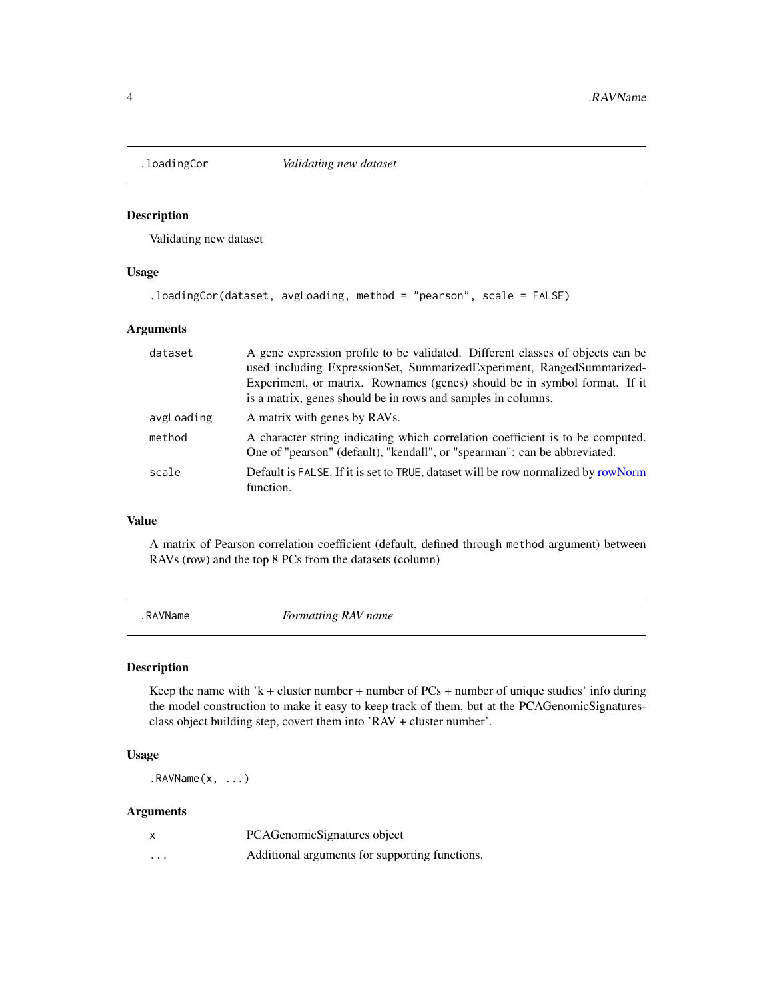<span id="page-3-0"></span>

# Description

Validating new dataset

#### Usage

```
.loadingCor(dataset, avgLoading, method = "pearson", scale = FALSE)
```
# Arguments

| dataset    | A gene expression profile to be validated. Different classes of objects can be<br>used including ExpressionSet, SummarizedExperiment, RangedSummarized-<br>Experiment, or matrix. Rownames (genes) should be in symbol format. If it<br>is a matrix, genes should be in rows and samples in columns. |
|------------|------------------------------------------------------------------------------------------------------------------------------------------------------------------------------------------------------------------------------------------------------------------------------------------------------|
| avgLoading | A matrix with genes by RAVs.                                                                                                                                                                                                                                                                         |
| method     | A character string indicating which correlation coefficient is to be computed.<br>One of "pearson" (default), "kendall", or "spearman": can be abbreviated.                                                                                                                                          |
| scale      | Default is FALSE. If it is set to TRUE, dataset will be row normalized by rowNorm<br>function.                                                                                                                                                                                                       |

#### Value

A matrix of Pearson correlation coefficient (default, defined through method argument) between RAVs (row) and the top 8 PCs from the datasets (column)

.RAVName *Formatting RAV name*

# Description

Keep the name with 'k + cluster number + number of  $PCs$  + number of unique studies' info during the model construction to make it easy to keep track of them, but at the PCAGenomicSignaturesclass object building step, covert them into 'RAV + cluster number'.

# Usage

 $.RAVName(x, ...)$ 

# Arguments

|                   | PCAGenomicSignatures object                    |
|-------------------|------------------------------------------------|
| $\cdot\cdot\cdot$ | Additional arguments for supporting functions. |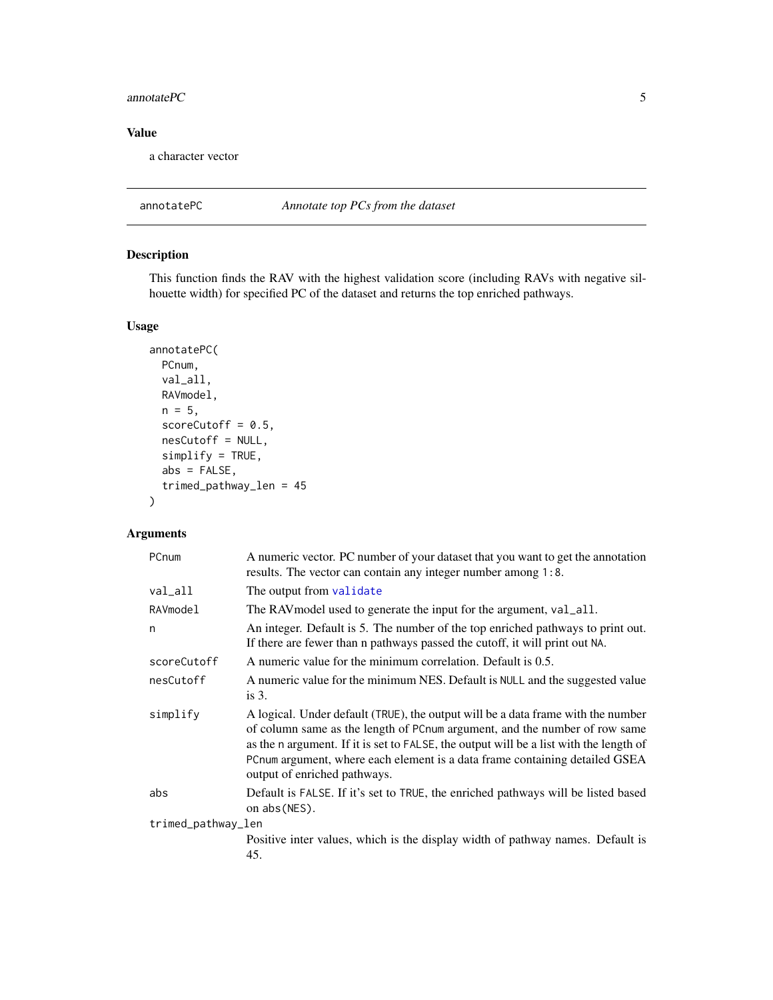#### <span id="page-4-0"></span>annotate $PC$  5

# Value

a character vector

annotatePC *Annotate top PCs from the dataset*

# Description

This function finds the RAV with the highest validation score (including RAVs with negative silhouette width) for specified PC of the dataset and returns the top enriched pathways.

# Usage

```
annotatePC(
 PCnum,
  val_all,
 RAVmodel,
 n = 5,
  scoreCutoff = 0.5,
  nesCutoff = NULL,
  simplify = TRUE,
  abs = FALSE,trimed_pathway_len = 45
\mathcal{L}
```
# Arguments

| PCnum              | A numeric vector. PC number of your dataset that you want to get the annotation<br>results. The vector can contain any integer number among 1:8.                                                                                                                                                                                                                        |
|--------------------|-------------------------------------------------------------------------------------------------------------------------------------------------------------------------------------------------------------------------------------------------------------------------------------------------------------------------------------------------------------------------|
| val_all            | The output from validate                                                                                                                                                                                                                                                                                                                                                |
| RAVmodel           | The RAV model used to generate the input for the argument, val_all.                                                                                                                                                                                                                                                                                                     |
| n                  | An integer. Default is 5. The number of the top enriched pathways to print out.<br>If there are fewer than n pathways passed the cutoff, it will print out NA.                                                                                                                                                                                                          |
| scoreCutoff        | A numeric value for the minimum correlation. Default is 0.5.                                                                                                                                                                                                                                                                                                            |
| nesCutoff          | A numeric value for the minimum NES. Default is NULL and the suggested value<br>is $3$ .                                                                                                                                                                                                                                                                                |
| simplify           | A logical. Under default (TRUE), the output will be a data frame with the number<br>of column same as the length of PCnum argument, and the number of row same<br>as the n argument. If it is set to FALSE, the output will be a list with the length of<br>PCnum argument, where each element is a data frame containing detailed GSEA<br>output of enriched pathways. |
| abs                | Default is FALSE. If it's set to TRUE, the enriched pathways will be listed based<br>on abs (NES).                                                                                                                                                                                                                                                                      |
| trimed_pathway_len |                                                                                                                                                                                                                                                                                                                                                                         |
|                    | Positive inter values, which is the display width of pathway names. Default is<br>45.                                                                                                                                                                                                                                                                                   |
|                    |                                                                                                                                                                                                                                                                                                                                                                         |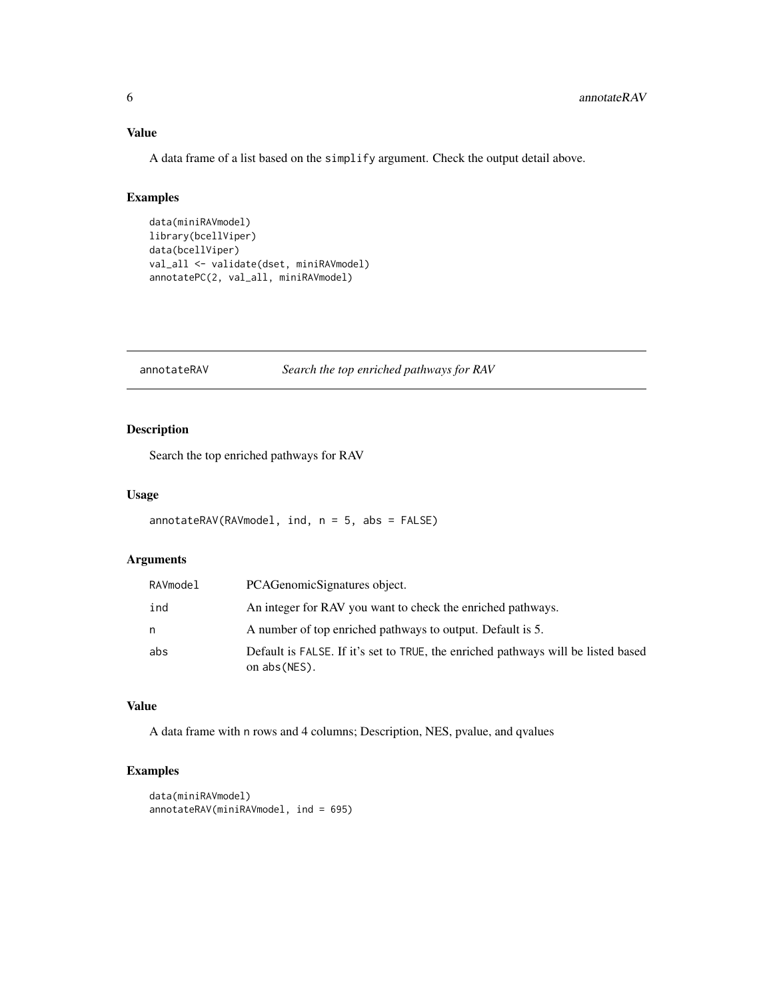# <span id="page-5-0"></span>Value

A data frame of a list based on the simplify argument. Check the output detail above.

#### Examples

```
data(miniRAVmodel)
library(bcellViper)
data(bcellViper)
val_all <- validate(dset, miniRAVmodel)
annotatePC(2, val_all, miniRAVmodel)
```
annotateRAV *Search the top enriched pathways for RAV*

# Description

Search the top enriched pathways for RAV

# Usage

```
annotateRAV(RAVmodel, ind, n = 5, abs = FALSE)
```
# Arguments

| RAVmodel | PCAGenomicSignatures object.                                                                       |
|----------|----------------------------------------------------------------------------------------------------|
| ind      | An integer for RAV you want to check the enriched pathways.                                        |
| n        | A number of top enriched pathways to output. Default is 5.                                         |
| abs      | Default is FALSE. If it's set to TRUE, the enriched pathways will be listed based<br>on abs (NES). |

# Value

A data frame with n rows and 4 columns; Description, NES, pvalue, and qvalues

# Examples

```
data(miniRAVmodel)
annotateRAV(miniRAVmodel, ind = 695)
```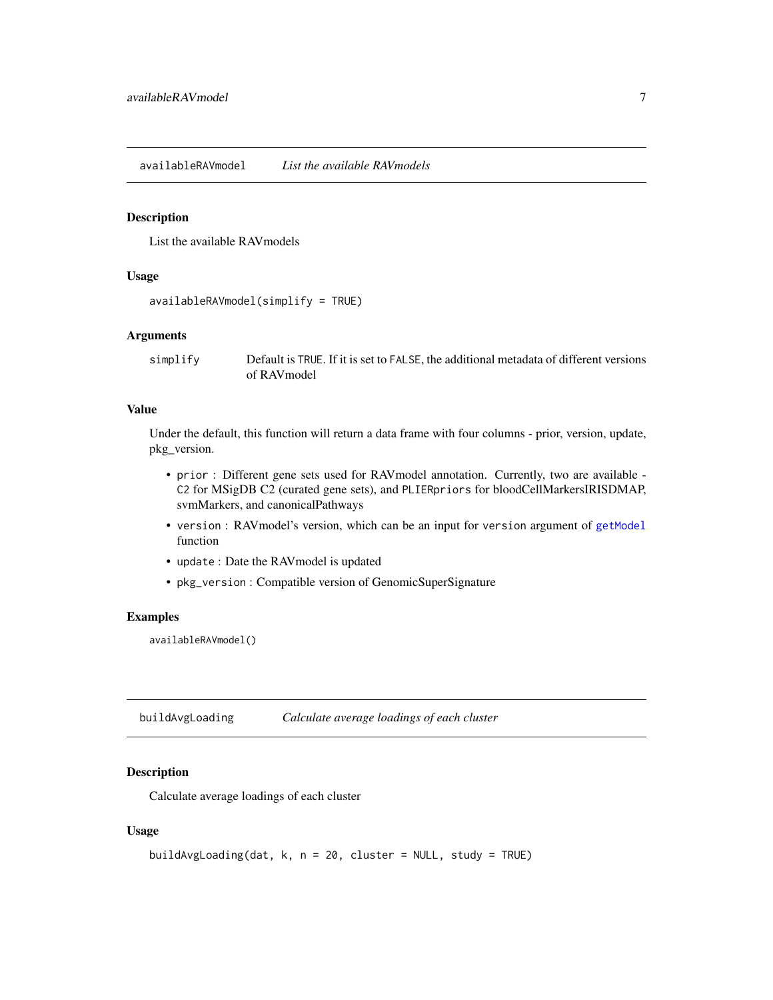<span id="page-6-0"></span>availableRAVmodel *List the available RAVmodels*

#### Description

List the available RAVmodels

#### Usage

```
availableRAVmodel(simplify = TRUE)
```
#### Arguments

simplify Default is TRUE. If it is set to FALSE, the additional metadata of different versions of RAVmodel

# Value

Under the default, this function will return a data frame with four columns - prior, version, update, pkg\_version.

- prior : Different gene sets used for RAVmodel annotation. Currently, two are available C2 for MSigDB C2 (curated gene sets), and PLIERpriors for bloodCellMarkersIRISDMAP, svmMarkers, and canonicalPathways
- version : RAV model's version, which can be an input for version argument of [getModel](#page-15-1) function
- update : Date the RAVmodel is updated
- pkg\_version : Compatible version of GenomicSuperSignature

### Examples

availableRAVmodel()

<span id="page-6-1"></span>buildAvgLoading *Calculate average loadings of each cluster*

# Description

Calculate average loadings of each cluster

```
buildAvgLoading(dat, k, n = 20, cluster = NULL, study = TRUE)
```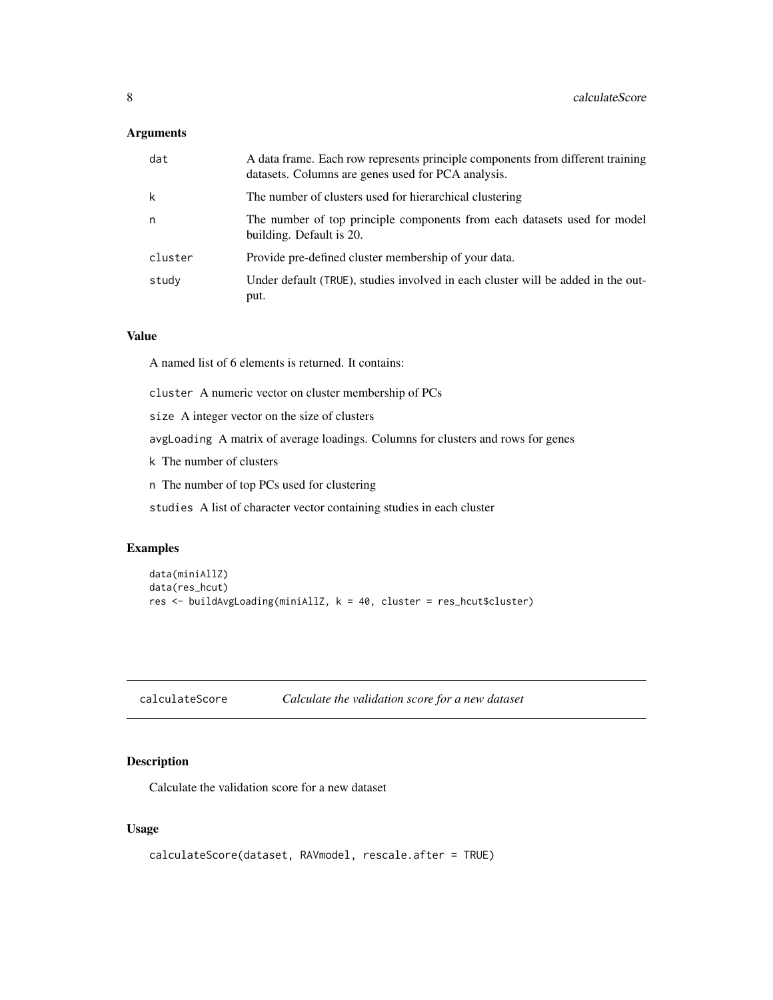# <span id="page-7-0"></span>Arguments

| dat     | A data frame. Each row represents principle components from different training<br>datasets. Columns are genes used for PCA analysis. |
|---------|--------------------------------------------------------------------------------------------------------------------------------------|
| k       | The number of clusters used for hierarchical clustering                                                                              |
| n       | The number of top principle components from each datasets used for model<br>building. Default is 20.                                 |
| cluster | Provide pre-defined cluster membership of your data.                                                                                 |
| study   | Under default (TRUE), studies involved in each cluster will be added in the out-<br>put.                                             |

## Value

A named list of 6 elements is returned. It contains:

cluster A numeric vector on cluster membership of PCs

size A integer vector on the size of clusters

avgLoading A matrix of average loadings. Columns for clusters and rows for genes

k The number of clusters

n The number of top PCs used for clustering

studies A list of character vector containing studies in each cluster

# Examples

```
data(miniAllZ)
data(res_hcut)
res <- buildAvgLoading(miniAllZ, k = 40, cluster = res_hcut$cluster)
```
<span id="page-7-1"></span>

| calculateScore | Calculate the validation score for a new dataset |  |
|----------------|--------------------------------------------------|--|
|                |                                                  |  |

# Description

Calculate the validation score for a new dataset

```
calculateScore(dataset, RAVmodel, rescale.after = TRUE)
```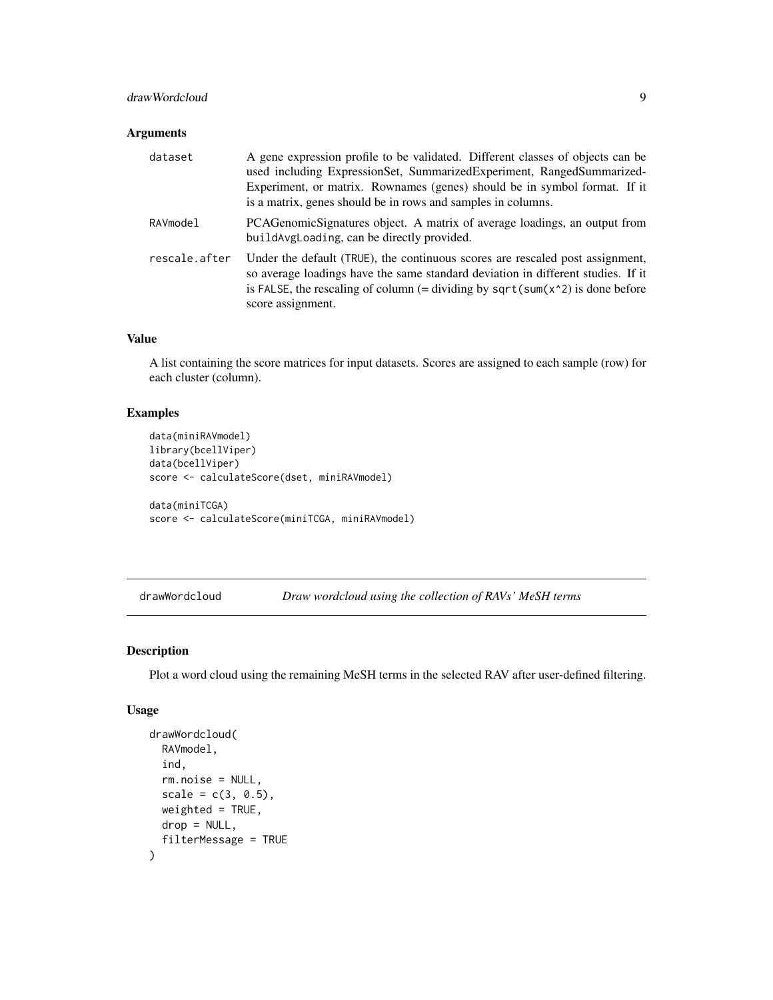# <span id="page-8-0"></span>drawWordcloud 9

### Arguments

| dataset       | A gene expression profile to be validated. Different classes of objects can be<br>used including ExpressionSet, SummarizedExperiment, RangedSummarized-<br>Experiment, or matrix. Rownames (genes) should be in symbol format. If it<br>is a matrix, genes should be in rows and samples in columns. |
|---------------|------------------------------------------------------------------------------------------------------------------------------------------------------------------------------------------------------------------------------------------------------------------------------------------------------|
| RAVmodel      | PCAGenomicSignatures object. A matrix of average loadings, an output from<br>build Avg Loading, can be directly provided.                                                                                                                                                                            |
| rescale.after | Under the default (TRUE), the continuous scores are rescaled post assignment,<br>so average loadings have the same standard deviation in different studies. If it<br>is FALSE, the rescaling of column (= dividing by sqrt(sum( $x^2$ ) is done before<br>score assignment.                          |

#### Value

A list containing the score matrices for input datasets. Scores are assigned to each sample (row) for each cluster (column).

# Examples

```
data(miniRAVmodel)
library(bcellViper)
data(bcellViper)
score <- calculateScore(dset, miniRAVmodel)
```

```
data(miniTCGA)
score <- calculateScore(miniTCGA, miniRAVmodel)
```
drawWordcloud *Draw wordcloud using the collection of RAVs' MeSH terms*

# Description

Plot a word cloud using the remaining MeSH terms in the selected RAV after user-defined filtering.

```
drawWordcloud(
  RAVmodel,
  ind,
  rm.noise = NULL,
  scale = c(3, 0.5),
  weighted = TRUE,
  drop = NULL,
  filterMessage = TRUE
\mathcal{L}
```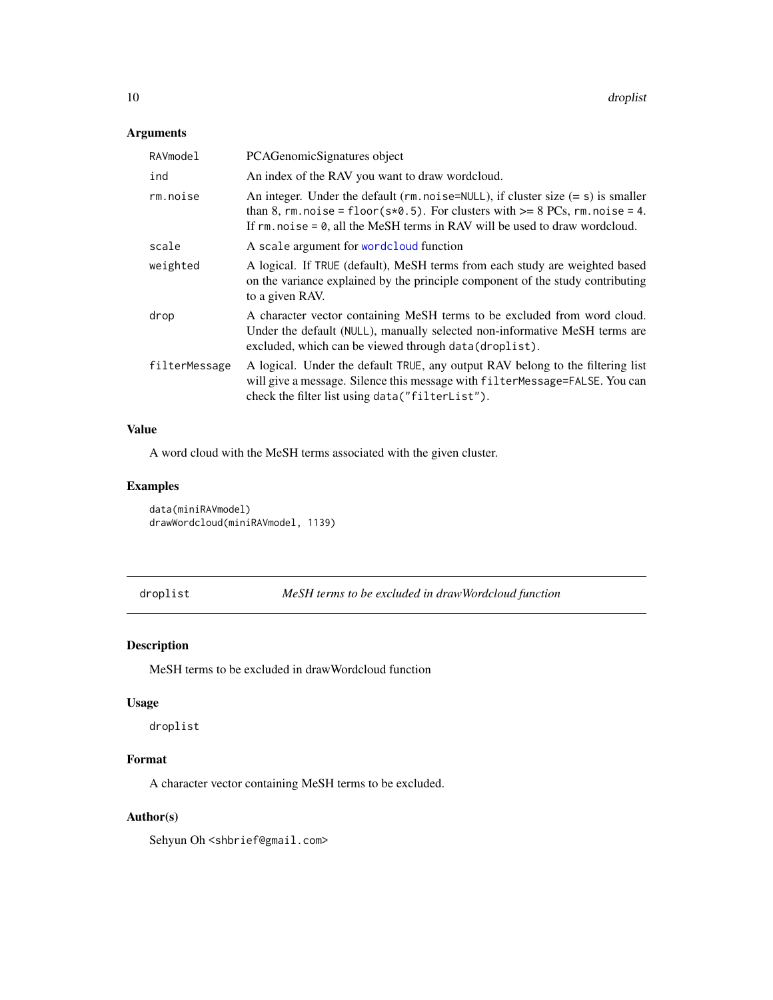# <span id="page-9-0"></span>Arguments

| RAVmodel      | PCAGenomicSignatures object                                                                                                                                                                                                                                   |
|---------------|---------------------------------------------------------------------------------------------------------------------------------------------------------------------------------------------------------------------------------------------------------------|
| ind           | An index of the RAV you want to draw wordcloud.                                                                                                                                                                                                               |
| rm.noise      | An integer. Under the default ( $rm.noise=NULL$ ), if cluster size $(= s)$ is smaller<br>than 8, rm. noise = floor( $s*0.5$ ). For clusters with $>= 8$ PCs, rm. noise = 4.<br>If $rm. noise = 0$ , all the MeSH terms in RAV will be used to draw wordcloud. |
| scale         | A scale argument for wordcloud function                                                                                                                                                                                                                       |
| weighted      | A logical. If TRUE (default), MeSH terms from each study are weighted based<br>on the variance explained by the principle component of the study contributing<br>to a given RAV.                                                                              |
| drop          | A character vector containing MeSH terms to be excluded from word cloud.<br>Under the default (NULL), manually selected non-informative MeSH terms are<br>excluded, which can be viewed through data(droplist).                                               |
| filterMessage | A logical. Under the default TRUE, any output RAV belong to the filtering list<br>will give a message. Silence this message with filterMessage=FALSE. You can<br>check the filter list using data("filterList").                                              |
|               |                                                                                                                                                                                                                                                               |

# Value

A word cloud with the MeSH terms associated with the given cluster.

# Examples

data(miniRAVmodel) drawWordcloud(miniRAVmodel, 1139)

droplist *MeSH terms to be excluded in drawWordcloud function*

# Description

MeSH terms to be excluded in drawWordcloud function

# Usage

droplist

# Format

A character vector containing MeSH terms to be excluded.

# Author(s)

Sehyun Oh <shbrief@gmail.com>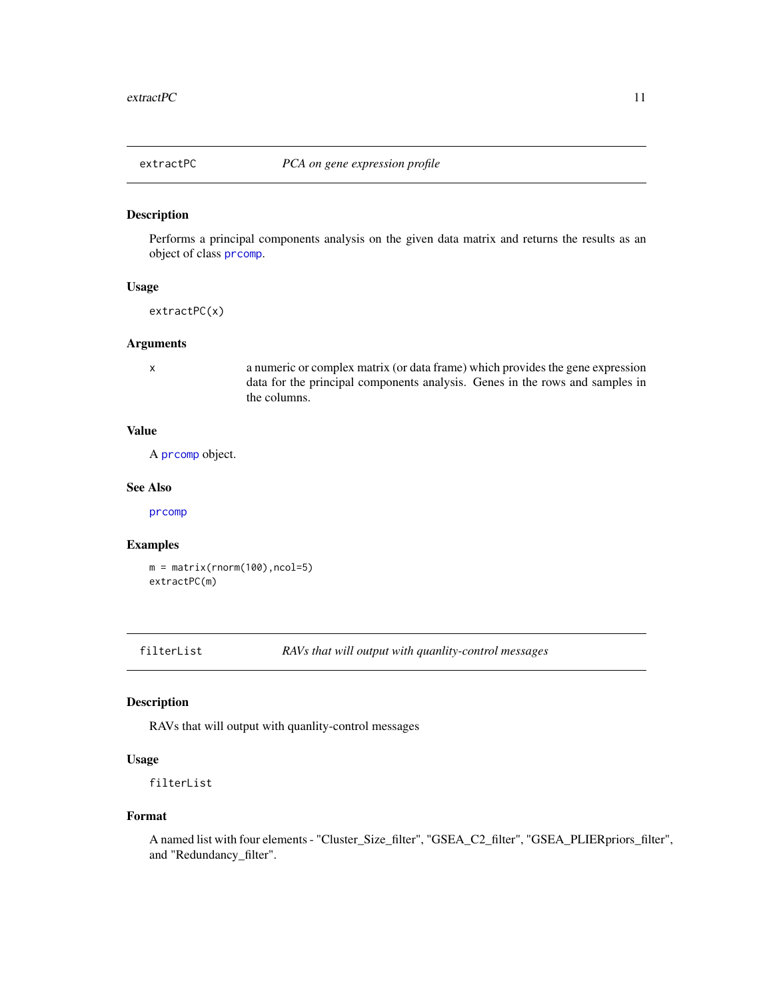<span id="page-10-0"></span>

# Description

Performs a principal components analysis on the given data matrix and returns the results as an object of class [prcomp](#page-0-0).

#### Usage

extractPC(x)

#### Arguments

x a numeric or complex matrix (or data frame) which provides the gene expression data for the principal components analysis. Genes in the rows and samples in the columns.

# Value

A [prcomp](#page-0-0) object.

#### See Also

[prcomp](#page-0-0)

#### Examples

m = matrix(rnorm(100),ncol=5) extractPC(m)

filterList *RAVs that will output with quanlity-control messages*

# Description

RAVs that will output with quanlity-control messages

#### Usage

filterList

#### Format

A named list with four elements - "Cluster\_Size\_filter", "GSEA\_C2\_filter", "GSEA\_PLIERpriors\_filter", and "Redundancy\_filter".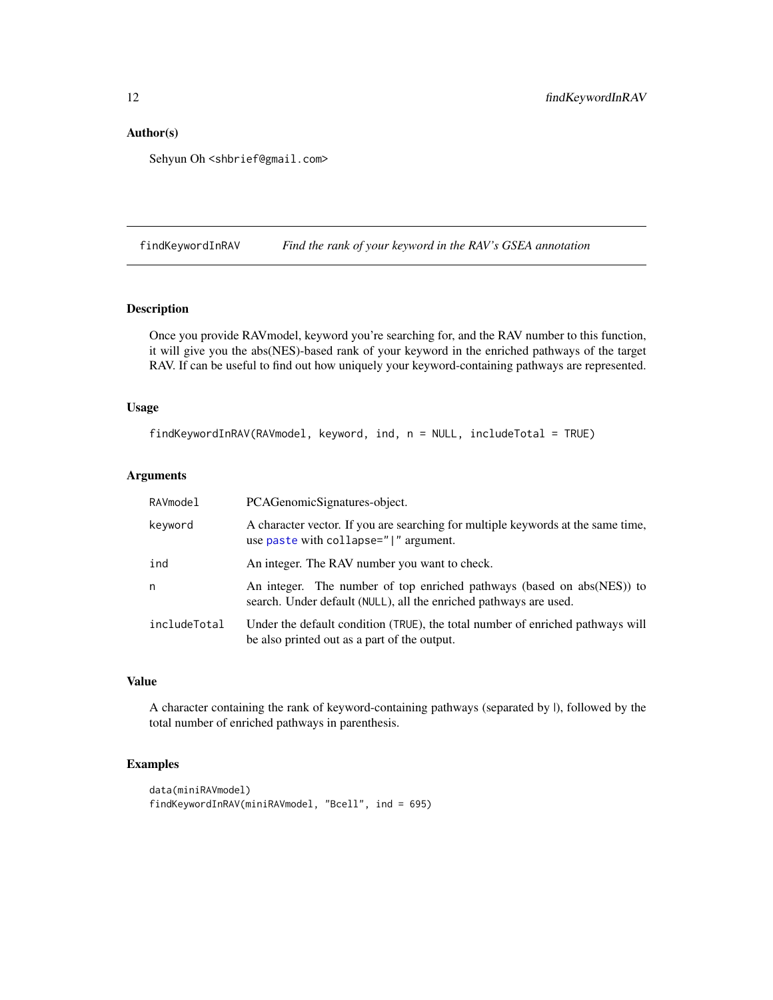# <span id="page-11-0"></span>Author(s)

Sehyun Oh <shbrief@gmail.com>

findKeywordInRAV *Find the rank of your keyword in the RAV's GSEA annotation*

# Description

Once you provide RAVmodel, keyword you're searching for, and the RAV number to this function, it will give you the abs(NES)-based rank of your keyword in the enriched pathways of the target RAV. If can be useful to find out how uniquely your keyword-containing pathways are represented.

# Usage

```
findKeywordInRAV(RAVmodel, keyword, ind, n = NULL, includeTotal = TRUE)
```
#### Arguments

| RAVmodel     | PCAGenomicSignatures-object.                                                                                                                |
|--------------|---------------------------------------------------------------------------------------------------------------------------------------------|
| keyword      | A character vector. If you are searching for multiple keywords at the same time,<br>use paste with collapse=" " argument.                   |
| ind          | An integer. The RAV number you want to check.                                                                                               |
| n            | An integer. The number of top enriched pathways (based on abs(NES)) to<br>search. Under default (NULL), all the enriched pathways are used. |
| includeTotal | Under the default condition (TRUE), the total number of enriched pathways will<br>be also printed out as a part of the output.              |

# Value

A character containing the rank of keyword-containing pathways (separated by |), followed by the total number of enriched pathways in parenthesis.

# Examples

```
data(miniRAVmodel)
findKeywordInRAV(miniRAVmodel, "Bcell", ind = 695)
```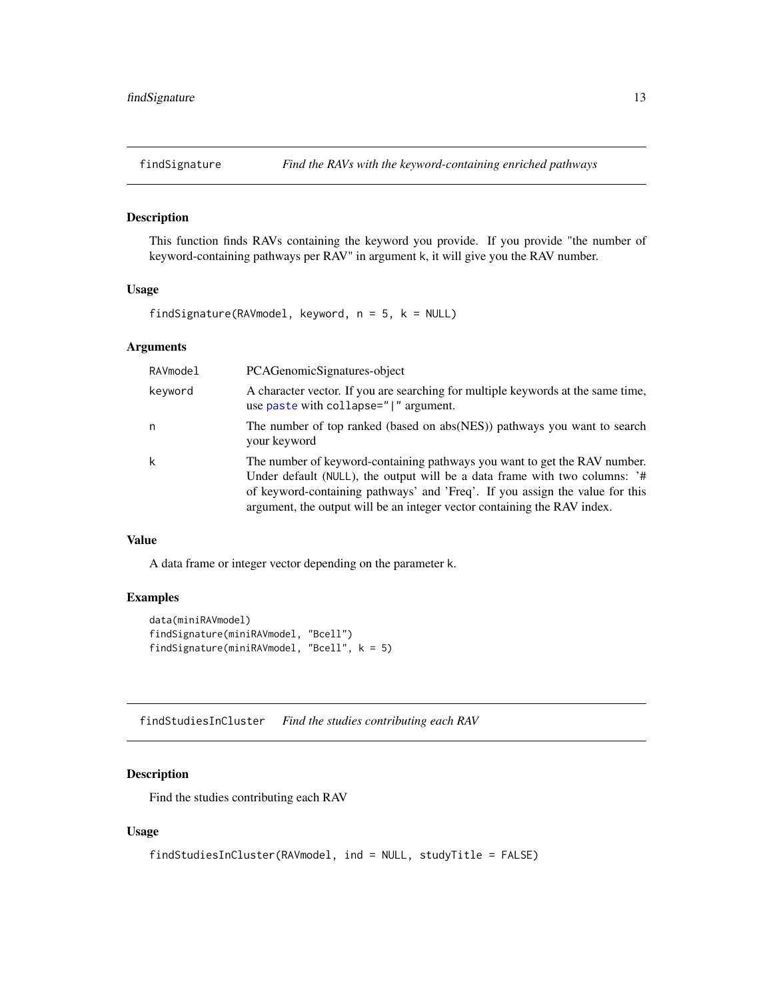<span id="page-12-0"></span>

# Description

This function finds RAVs containing the keyword you provide. If you provide "the number of keyword-containing pathways per RAV" in argument k, it will give you the RAV number.

#### Usage

findSignature(RAVmodel, keyword,  $n = 5$ ,  $k = NULL$ )

# Arguments

| RAVmodel | PCAGenomicSignatures-object                                                                                                                                                                                                                                                                                         |
|----------|---------------------------------------------------------------------------------------------------------------------------------------------------------------------------------------------------------------------------------------------------------------------------------------------------------------------|
| keyword  | A character vector. If you are searching for multiple keywords at the same time,<br>use paste with collapse=" " argument.                                                                                                                                                                                           |
| n        | The number of top ranked (based on abs(NES)) pathways you want to search<br>your keyword                                                                                                                                                                                                                            |
| k        | The number of keyword-containing pathways you want to get the RAV number.<br>Under default (NULL), the output will be a data frame with two columns: '#<br>of keyword-containing pathways' and 'Freq'. If you assign the value for this<br>argument, the output will be an integer vector containing the RAV index. |

#### Value

A data frame or integer vector depending on the parameter k.

# Examples

```
data(miniRAVmodel)
findSignature(miniRAVmodel, "Bcell")
findSignature(miniRAVmodel, "Bcell", k = 5)
```
findStudiesInCluster *Find the studies contributing each RAV*

# Description

Find the studies contributing each RAV

```
findStudiesInCluster(RAVmodel, ind = NULL, studyTitle = FALSE)
```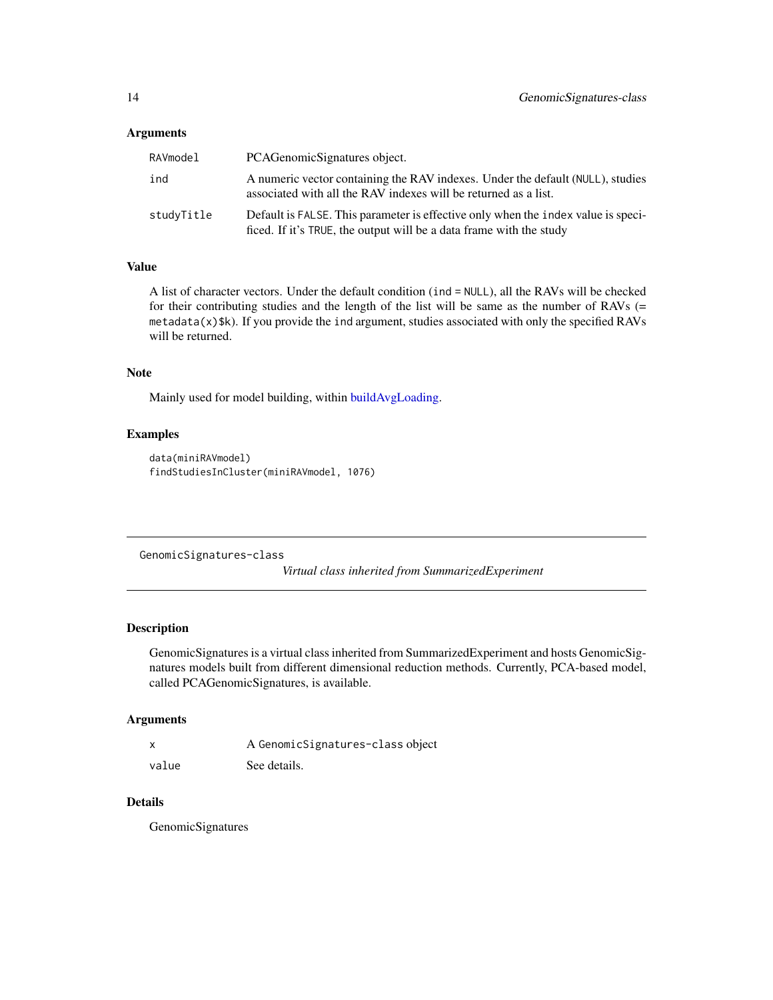#### <span id="page-13-0"></span>Arguments

| RAVmodel   | PCAGenomicSignatures object.                                                                                                                             |
|------------|----------------------------------------------------------------------------------------------------------------------------------------------------------|
| ind        | A numeric vector containing the RAV indexes. Under the default (NULL), studies<br>associated with all the RAV indexes will be returned as a list.        |
| studyTitle | Default is FALSE. This parameter is effective only when the index value is speci-<br>ficed. If it's TRUE, the output will be a data frame with the study |

#### Value

A list of character vectors. Under the default condition (ind = NULL), all the RAVs will be checked for their contributing studies and the length of the list will be same as the number of RAVs (=  $meta(x)$ \$k). If you provide the ind argument, studies associated with only the specified RAVs will be returned.

#### Note

Mainly used for model building, within [buildAvgLoading.](#page-6-1)

# Examples

```
data(miniRAVmodel)
findStudiesInCluster(miniRAVmodel, 1076)
```
<span id="page-13-1"></span>GenomicSignatures-class

*Virtual class inherited from SummarizedExperiment*

#### Description

GenomicSignatures is a virtual class inherited from SummarizedExperiment and hosts GenomicSignatures models built from different dimensional reduction methods. Currently, PCA-based model, called PCAGenomicSignatures, is available.

#### Arguments

| x     | A GenomicSignatures-class object |
|-------|----------------------------------|
| value | See details.                     |

# Details

GenomicSignatures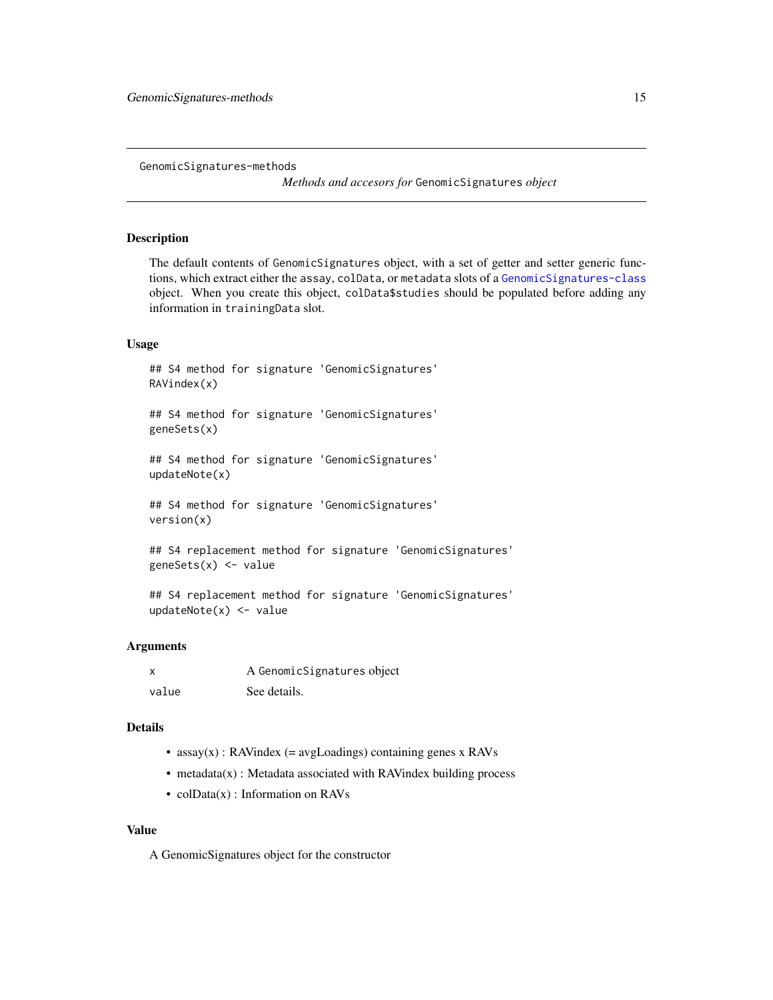<span id="page-14-0"></span>GenomicSignatures-methods

*Methods and accesors for* GenomicSignatures *object*

#### Description

The default contents of GenomicSignatures object, with a set of getter and setter generic functions, which extract either the assay, colData, or metadata slots of a [GenomicSignatures-class](#page-13-1) object. When you create this object, colData\$studies should be populated before adding any information in trainingData slot.

#### Usage

```
## S4 method for signature 'GenomicSignatures'
RAVindex(x)
```
## S4 method for signature 'GenomicSignatures' geneSets(x)

## S4 method for signature 'GenomicSignatures' updateNote(x)

## S4 method for signature 'GenomicSignatures' version(x)

## S4 replacement method for signature 'GenomicSignatures' geneSets(x) <- value

## S4 replacement method for signature 'GenomicSignatures' updateNote(x) <- value

#### Arguments

| $\boldsymbol{\mathsf{x}}$ | A GenomicSignatures object |
|---------------------------|----------------------------|
| value                     | See details.               |

#### Details

- $assay(x)$ : RAVindex (= avgLoadings) containing genes x RAVs
- metadata(x) : Metadata associated with RAVindex building process
- colData(x) : Information on RAVs

#### Value

A GenomicSignatures object for the constructor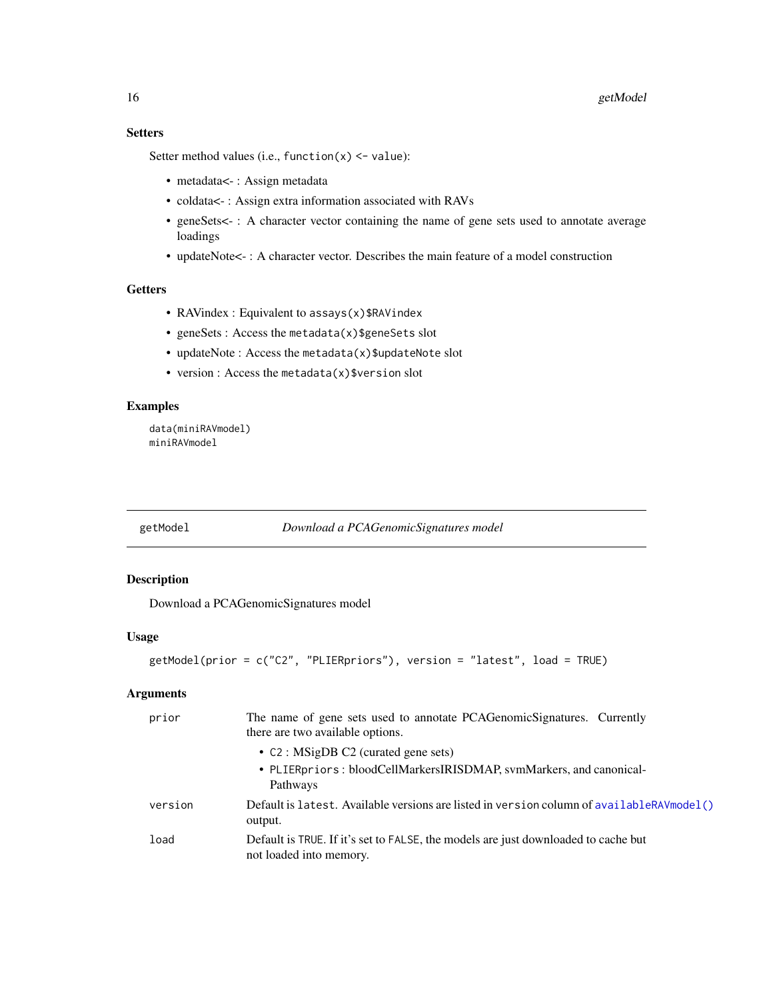# <span id="page-15-0"></span>**Setters**

Setter method values (i.e., function $(x)$  <- value):

- metadata<-: Assign metadata
- coldata<- : Assign extra information associated with RAVs
- geneSets<- : A character vector containing the name of gene sets used to annotate average loadings
- updateNote<- : A character vector. Describes the main feature of a model construction

#### Getters

- RAVindex : Equivalent to assays(x) \$RAVindex
- geneSets : Access the metadata(x)\$geneSets slot
- updateNote : Access the metadata(x)\$updateNote slot
- version : Access the metadata(x)\$version slot

#### Examples

```
data(miniRAVmodel)
miniRAVmodel
```
<span id="page-15-1"></span>getModel *Download a PCAGenomicSignatures model*

#### Description

Download a PCAGenomicSignatures model

#### Usage

```
getModel(prior = c("C2", "PLIERpriors"), version = "latest", load = TRUE)
```
#### Arguments

| prior   | The name of gene sets used to annotate PCAGenomicSignatures. Currently<br>there are two available options.    |
|---------|---------------------------------------------------------------------------------------------------------------|
|         | • $C2: MSigDB C2$ (curated gene sets)                                                                         |
|         | • PLIERpriors: bloodCellMarkersIRISDMAP, svmMarkers, and canonical-<br>Pathways                               |
| version | Default is latest. Available versions are listed in version column of availableRAVmodel()<br>output.          |
| load    | Default is TRUE. If it's set to FALSE, the models are just downloaded to cache but<br>not loaded into memory. |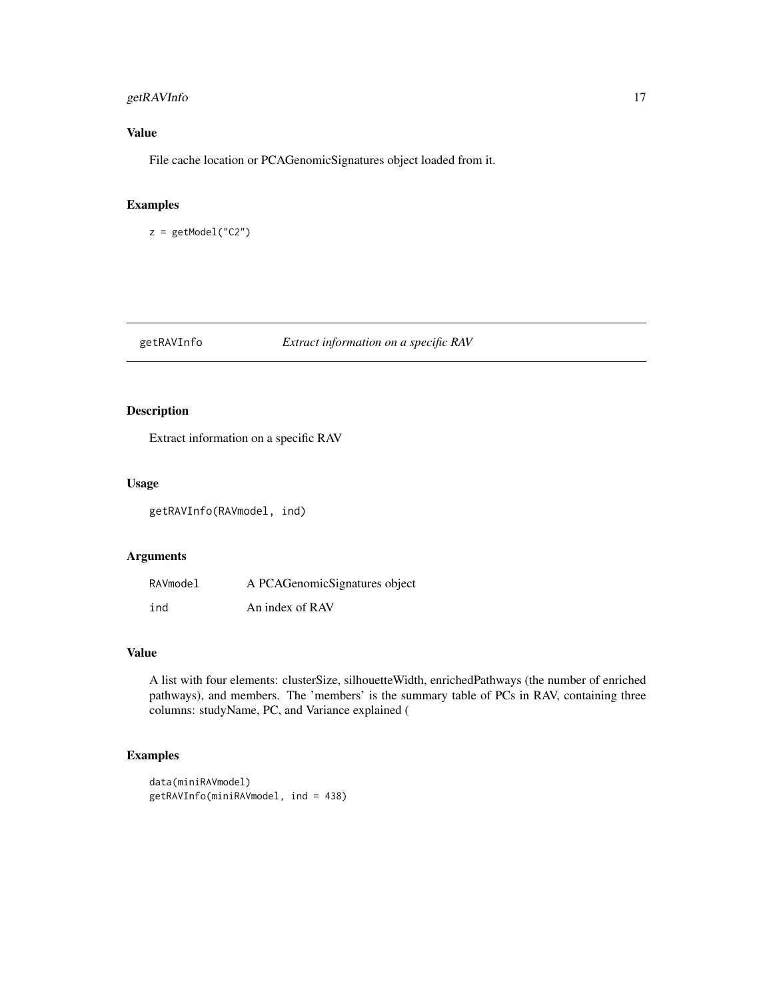# <span id="page-16-0"></span>getRAVInfo 17

# Value

File cache location or PCAGenomicSignatures object loaded from it.

# Examples

z = getModel("C2")

#### getRAVInfo *Extract information on a specific RAV*

# Description

Extract information on a specific RAV

#### Usage

getRAVInfo(RAVmodel, ind)

# Arguments

| RAVmodel | A PCAGenomicSignatures object |
|----------|-------------------------------|
| ind      | An index of RAV               |

# Value

A list with four elements: clusterSize, silhouetteWidth, enrichedPathways (the number of enriched pathways), and members. The 'members' is the summary table of PCs in RAV, containing three columns: studyName, PC, and Variance explained (

# Examples

```
data(miniRAVmodel)
getRAVInfo(miniRAVmodel, ind = 438)
```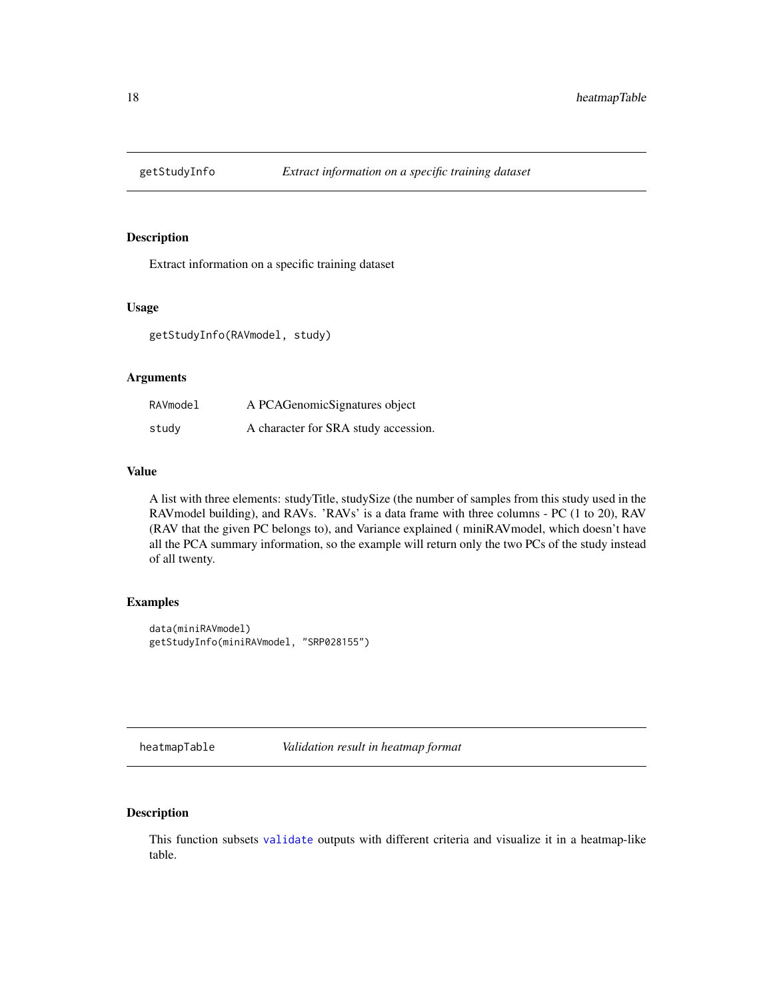<span id="page-17-0"></span>

# Description

Extract information on a specific training dataset

# Usage

getStudyInfo(RAVmodel, study)

# Arguments

| RAVmodel | A PCAGenomicSignatures object        |
|----------|--------------------------------------|
| study    | A character for SRA study accession. |

# Value

A list with three elements: studyTitle, studySize (the number of samples from this study used in the RAVmodel building), and RAVs. 'RAVs' is a data frame with three columns - PC (1 to 20), RAV (RAV that the given PC belongs to), and Variance explained ( miniRAVmodel, which doesn't have all the PCA summary information, so the example will return only the two PCs of the study instead of all twenty.

#### Examples

```
data(miniRAVmodel)
getStudyInfo(miniRAVmodel, "SRP028155")
```
heatmapTable *Validation result in heatmap format*

# Description

This function subsets [validate](#page-36-1) outputs with different criteria and visualize it in a heatmap-like table.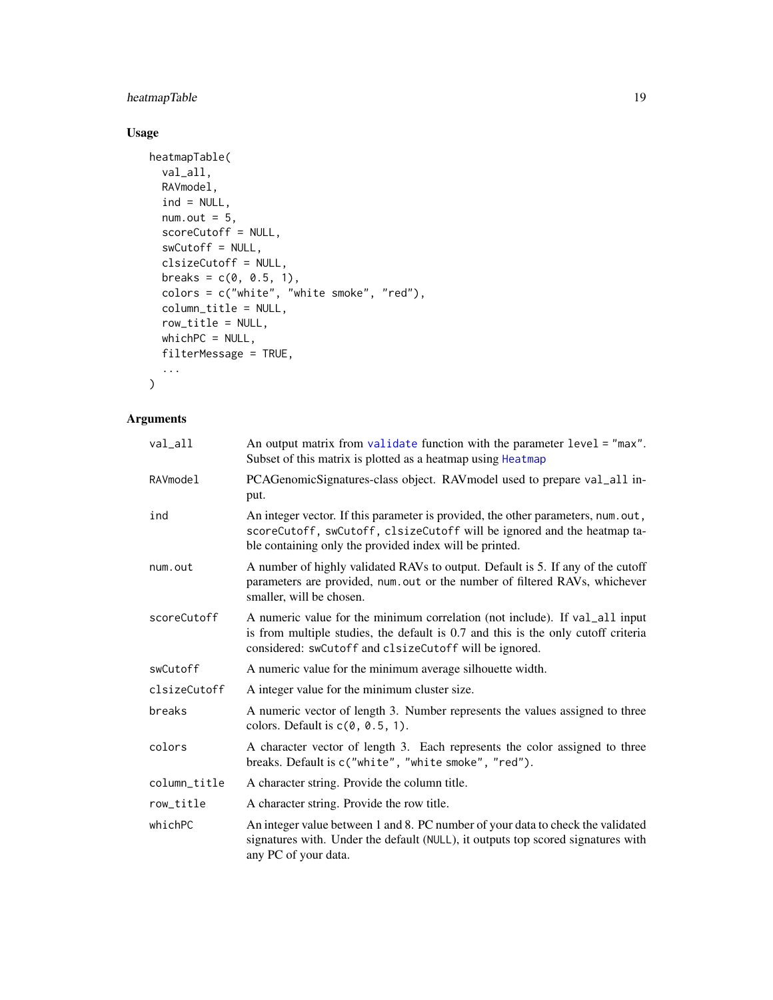# <span id="page-18-0"></span>heatmapTable 19

# Usage

```
heatmapTable(
  val_all,
  RAVmodel,
  ind = NULL,num.out = 5,
  scoreCutoff = NULL,
  swCutoff = NULL,
  clsizeCutoff = NULL,
  breaks = c(0, 0.5, 1),colors = c("white", "white smoke", "red"),
  column_title = NULL,
  row_title = NULL,
  whichPC = NULL,
  filterMessage = TRUE,
  ...
\mathcal{L}
```
# Arguments

| val_all      | An output matrix from validate function with the parameter level = "max".<br>Subset of this matrix is plotted as a heatmap using Heatmap                                                                                   |  |  |
|--------------|----------------------------------------------------------------------------------------------------------------------------------------------------------------------------------------------------------------------------|--|--|
| RAVmodel     | PCAGenomicSignatures-class object. RAV model used to prepare val_all in-<br>put.                                                                                                                                           |  |  |
| ind          | An integer vector. If this parameter is provided, the other parameters, num.out,<br>scoreCutoff, swCutoff, clsizeCutoff will be ignored and the heatmap ta-<br>ble containing only the provided index will be printed.     |  |  |
| num.out      | A number of highly validated RAVs to output. Default is 5. If any of the cutoff<br>parameters are provided, num.out or the number of filtered RAVs, whichever<br>smaller, will be chosen.                                  |  |  |
| scoreCutoff  | A numeric value for the minimum correlation (not include). If val_all input<br>is from multiple studies, the default is 0.7 and this is the only cutoff criteria<br>considered: swCutoff and clsizeCutoff will be ignored. |  |  |
| swCutoff     | A numeric value for the minimum average silhouette width.                                                                                                                                                                  |  |  |
| clsizeCutoff | A integer value for the minimum cluster size.                                                                                                                                                                              |  |  |
| breaks       | A numeric vector of length 3. Number represents the values assigned to three<br>colors. Default is $c(0, 0.5, 1)$ .                                                                                                        |  |  |
| colors       | A character vector of length 3. Each represents the color assigned to three<br>breaks. Default is c("white", "white smoke", "red").                                                                                        |  |  |
| column_title | A character string. Provide the column title.                                                                                                                                                                              |  |  |
| row_title    | A character string. Provide the row title.                                                                                                                                                                                 |  |  |
| whichPC      | An integer value between 1 and 8. PC number of your data to check the validated<br>signatures with. Under the default (NULL), it outputs top scored signatures with<br>any PC of your data.                                |  |  |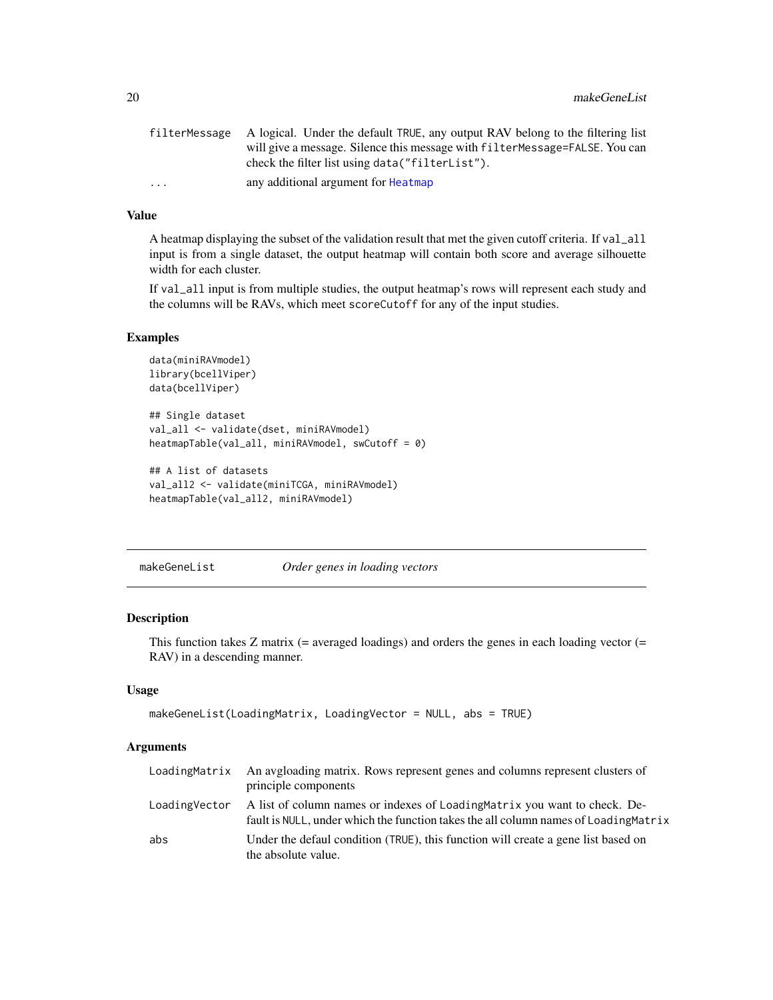<span id="page-19-0"></span>

|                         | filterMessage A logical. Under the default TRUE, any output RAV belong to the filtering list |
|-------------------------|----------------------------------------------------------------------------------------------|
|                         | will give a message. Silence this message with filter Message=FALSE. You can                 |
|                         | check the filter list using data("filterList").                                              |
| $\cdot$ $\cdot$ $\cdot$ | any additional argument for Heatmap                                                          |

# Value

A heatmap displaying the subset of the validation result that met the given cutoff criteria. If val\_all input is from a single dataset, the output heatmap will contain both score and average silhouette width for each cluster.

If val\_all input is from multiple studies, the output heatmap's rows will represent each study and the columns will be RAVs, which meet scoreCutoff for any of the input studies.

#### Examples

```
data(miniRAVmodel)
library(bcellViper)
data(bcellViper)
## Single dataset
val_all <- validate(dset, miniRAVmodel)
heatmapTable(val_all, miniRAVmodel, swCutoff = 0)
## A list of datasets
val_all2 <- validate(miniTCGA, miniRAVmodel)
```

```
heatmapTable(val_all2, miniRAVmodel)
```
makeGeneList *Order genes in loading vectors*

# Description

This function takes  $Z$  matrix (= averaged loadings) and orders the genes in each loading vector (= RAV) in a descending manner.

#### Usage

```
makeGeneList(LoadingMatrix, LoadingVector = NULL, abs = TRUE)
```
#### Arguments

| LoadingMatrix | An avgloading matrix. Rows represent genes and columns represent clusters of<br>principle components                                                             |
|---------------|------------------------------------------------------------------------------------------------------------------------------------------------------------------|
| LoadingVector | A list of column names or indexes of LoadingMatrix you want to check. De-<br>fault is NULL, under which the function takes the all column names of LoadingMatrix |
| abs           | Under the defaul condition (TRUE), this function will create a gene list based on<br>the absolute value.                                                         |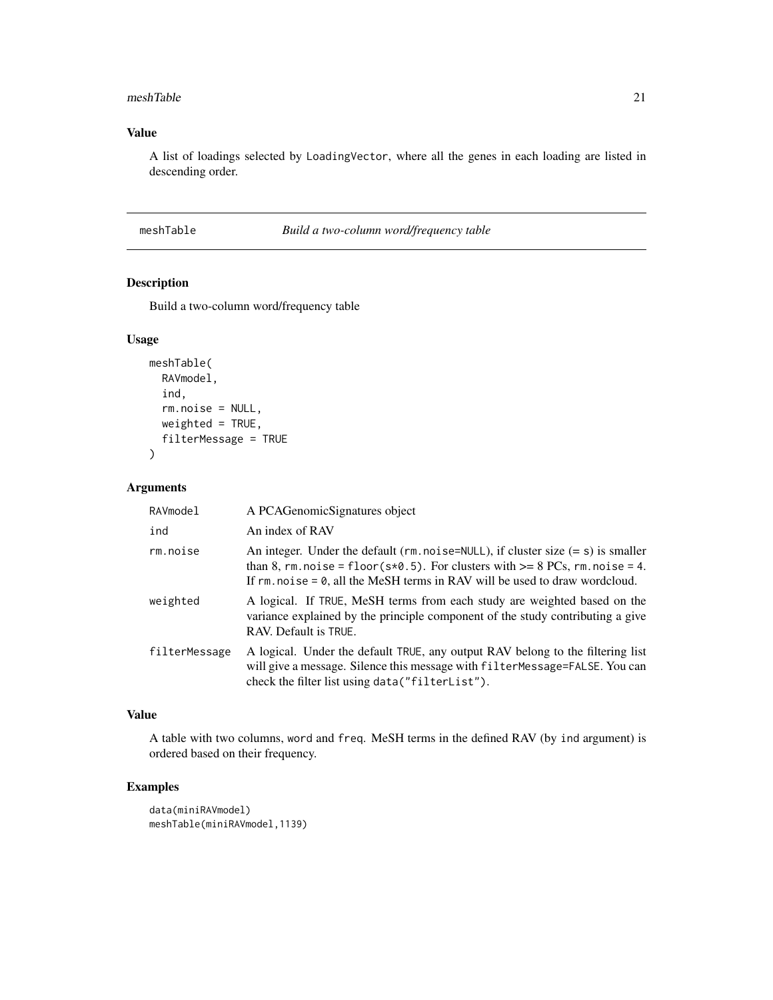#### <span id="page-20-0"></span>meshTable 21

# Value

A list of loadings selected by LoadingVector, where all the genes in each loading are listed in descending order.

#### meshTable *Build a two-column word/frequency table*

# Description

Build a two-column word/frequency table

# Usage

```
meshTable(
  RAVmodel,
  ind,
  rm.noise = NULL,
 weighted = TRUE,
  filterMessage = TRUE
)
```
#### Arguments

| RAVmodel      | A PCAGenomicSignatures object                                                                                                                                                                                                                                 |
|---------------|---------------------------------------------------------------------------------------------------------------------------------------------------------------------------------------------------------------------------------------------------------------|
| ind           | An index of RAV                                                                                                                                                                                                                                               |
| rm.noise      | An integer. Under the default ( $rm.noise=NULL$ ), if cluster size $(= s)$ is smaller<br>than 8, rm. noise = floor( $s*0.5$ ). For clusters with $>= 8$ PCs, rm. noise = 4.<br>If $rm. noise = 0$ , all the MeSH terms in RAV will be used to draw wordcloud. |
| weighted      | A logical. If TRUE, MeSH terms from each study are weighted based on the<br>variance explained by the principle component of the study contributing a give<br>RAV. Default is TRUE.                                                                           |
| filterMessage | A logical. Under the default TRUE, any output RAV belong to the filtering list<br>will give a message. Silence this message with filterMessage=FALSE. You can<br>check the filter list using data("filterList").                                              |

# Value

A table with two columns, word and freq. MeSH terms in the defined RAV (by ind argument) is ordered based on their frequency.

# Examples

```
data(miniRAVmodel)
meshTable(miniRAVmodel,1139)
```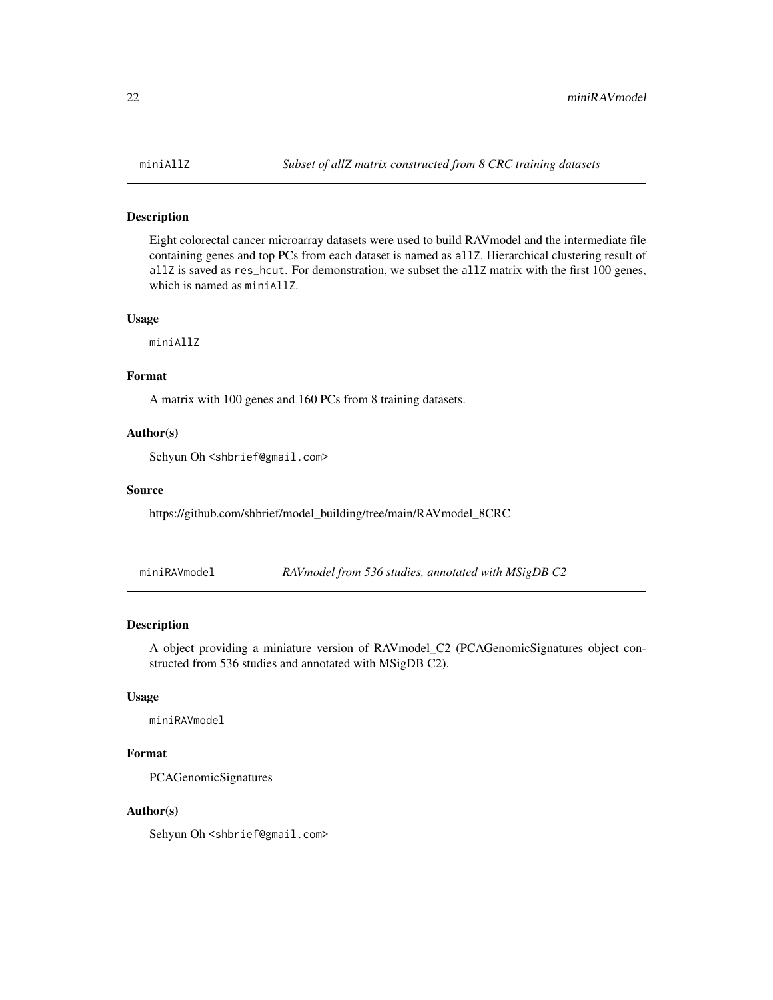#### <span id="page-21-0"></span>Description

Eight colorectal cancer microarray datasets were used to build RAVmodel and the intermediate file containing genes and top PCs from each dataset is named as allZ. Hierarchical clustering result of allZ is saved as res\_hcut. For demonstration, we subset the allZ matrix with the first 100 genes, which is named as miniAllZ.

#### Usage

miniAllZ

## Format

A matrix with 100 genes and 160 PCs from 8 training datasets.

#### Author(s)

Sehyun Oh <shbrief@gmail.com>

#### Source

https://github.com/shbrief/model\_building/tree/main/RAVmodel\_8CRC

| miniRAVmodel |  | RAV model from 536 studies, annotated with MSigDB C2 |  |
|--------------|--|------------------------------------------------------|--|
|              |  |                                                      |  |

# Description

A object providing a miniature version of RAVmodel\_C2 (PCAGenomicSignatures object constructed from 536 studies and annotated with MSigDB C2).

#### Usage

miniRAVmodel

# Format

PCAGenomicSignatures

# Author(s)

Sehyun Oh <shbrief@gmail.com>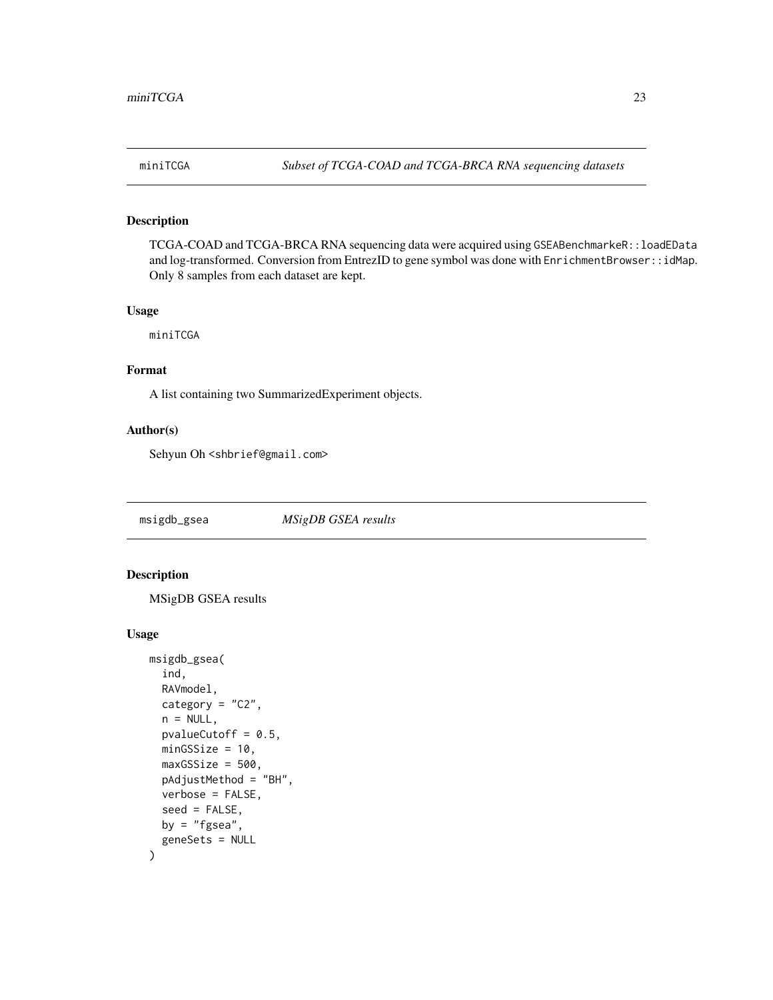<span id="page-22-0"></span>

# Description

TCGA-COAD and TCGA-BRCA RNA sequencing data were acquired using GSEABenchmarkeR::loadEData and log-transformed. Conversion from EntrezID to gene symbol was done with EnrichmentBrowser::idMap. Only 8 samples from each dataset are kept.

#### Usage

miniTCGA

# Format

A list containing two SummarizedExperiment objects.

# Author(s)

Sehyun Oh <shbrief@gmail.com>

msigdb\_gsea *MSigDB GSEA results*

# Description

MSigDB GSEA results

```
msigdb_gsea(
  ind,
 RAVmodel,
 category = "C2",
  n = NULL,pvalueCutoff = 0.5,
 minGSSize = 10,
 maxGSSize = 500,
 pAdjustMethod = "BH",
 verbose = FALSE,
  seed = FALSE,
 by = "fgsea",
  geneSets = NULL
)
```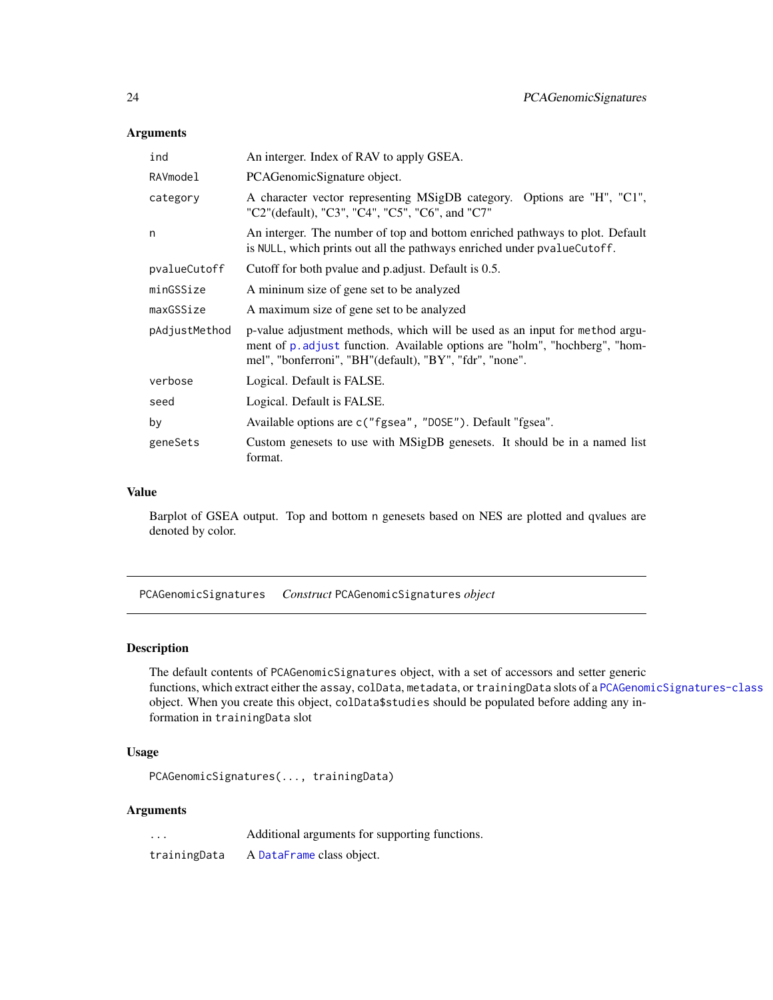#### <span id="page-23-0"></span>Arguments

| ind           | An interger. Index of RAV to apply GSEA.                                                                                                                                                                              |
|---------------|-----------------------------------------------------------------------------------------------------------------------------------------------------------------------------------------------------------------------|
| RAVmodel      | PCAGenomicSignature object.                                                                                                                                                                                           |
| category      | A character vector representing MSigDB category. Options are "H", "C1",<br>"C2"(default), "C3", "C4", "C5", "C6", and "C7"                                                                                            |
| n             | An interger. The number of top and bottom enriched pathways to plot. Default<br>is NULL, which prints out all the pathways enriched under pvalue Cutoff.                                                              |
| pvalueCutoff  | Cutoff for both pvalue and p.adjust. Default is 0.5.                                                                                                                                                                  |
| minGSSize     | A minimum size of gene set to be analyzed                                                                                                                                                                             |
| maxGSSize     | A maximum size of gene set to be analyzed                                                                                                                                                                             |
| pAdjustMethod | p-value adjustment methods, which will be used as an input for method argu-<br>ment of p. adjust function. Available options are "holm", "hochberg", "hom-<br>mel", "bonferroni", "BH"(default), "BY", "fdr", "none". |
| verbose       | Logical. Default is FALSE.                                                                                                                                                                                            |
| seed          | Logical. Default is FALSE.                                                                                                                                                                                            |
| by            | Available options are c("fgsea", "DOSE"). Default "fgsea".                                                                                                                                                            |
| geneSets      | Custom genesets to use with MSigDB genesets. It should be in a named list<br>format.                                                                                                                                  |

#### Value

Barplot of GSEA output. Top and bottom n genesets based on NES are plotted and qvalues are denoted by color.

PCAGenomicSignatures *Construct* PCAGenomicSignatures *object*

### Description

The default contents of PCAGenomicSignatures object, with a set of accessors and setter generic functions, which extract either the assay, colData, metadata, or trainingData slots of a [PCAGenomicSignatures-class](#page-25-1) object. When you create this object, colData\$studies should be populated before adding any information in trainingData slot

# Usage

PCAGenomicSignatures(..., trainingData)

#### Arguments

... Additional arguments for supporting functions.

trainingData A [DataFrame](#page-0-0) class object.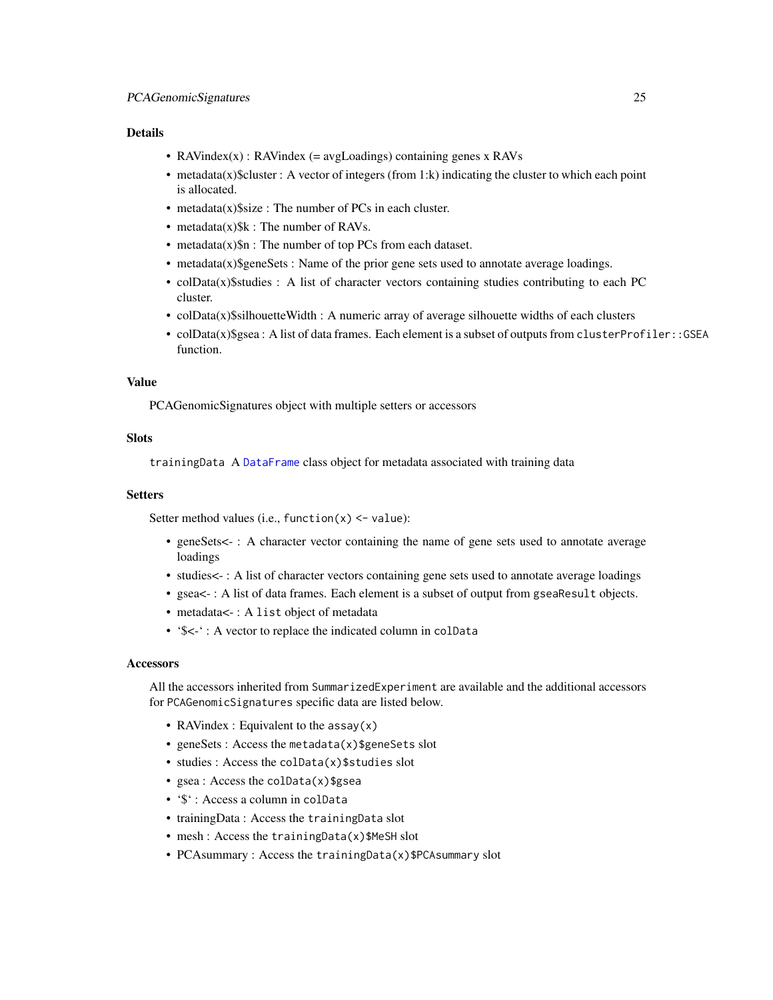#### Details

- RAVindex(x) : RAVindex (= avgLoadings) containing genes x RAVs
- metadata(x)\$cluster : A vector of integers (from 1:k) indicating the cluster to which each point is allocated.
- metadata $(x)$ \$size : The number of PCs in each cluster.
- metadata $(x)$ \$k : The number of RAVs.
- metadata $(x)$ \$n : The number of top PCs from each dataset.
- metadata(x)\$geneSets : Name of the prior gene sets used to annotate average loadings.
- colData(x)\$studies : A list of character vectors containing studies contributing to each PC cluster.
- colData $(x)$ \$silhouetteWidth : A numeric array of average silhouette widths of each clusters
- colData(x)\$gsea : A list of data frames. Each element is a subset of outputs from clusterProfiler::GSEA function.

# Value

PCAGenomicSignatures object with multiple setters or accessors

# **Slots**

trainingData A [DataFrame](#page-0-0) class object for metadata associated with training data

#### Setters

Setter method values (i.e., function $(x)$  <- value):

- geneSets<- : A character vector containing the name of gene sets used to annotate average loadings
- studies < -: A list of character vectors containing gene sets used to annotate average loadings
- gsea<-: A list of data frames. Each element is a subset of output from gseaResult objects.
- metadata < -: A list object of metadata
- '\$<-': A vector to replace the indicated column in colData

#### **Accessors**

All the accessors inherited from SummarizedExperiment are available and the additional accessors for PCAGenomicSignatures specific data are listed below.

- RAVindex : Equivalent to the assay(x)
- geneSets : Access the metadata(x)\$geneSets slot
- studies : Access the colData(x)\$studies slot
- gsea: Access the colData(x) \$gsea
- '\$' : Access a column in colData
- trainingData : Access the trainingData slot
- mesh : Access the trainingData(x)\$MeSH slot
- PCAsummary : Access the trainingData(x)\$PCAsummary slot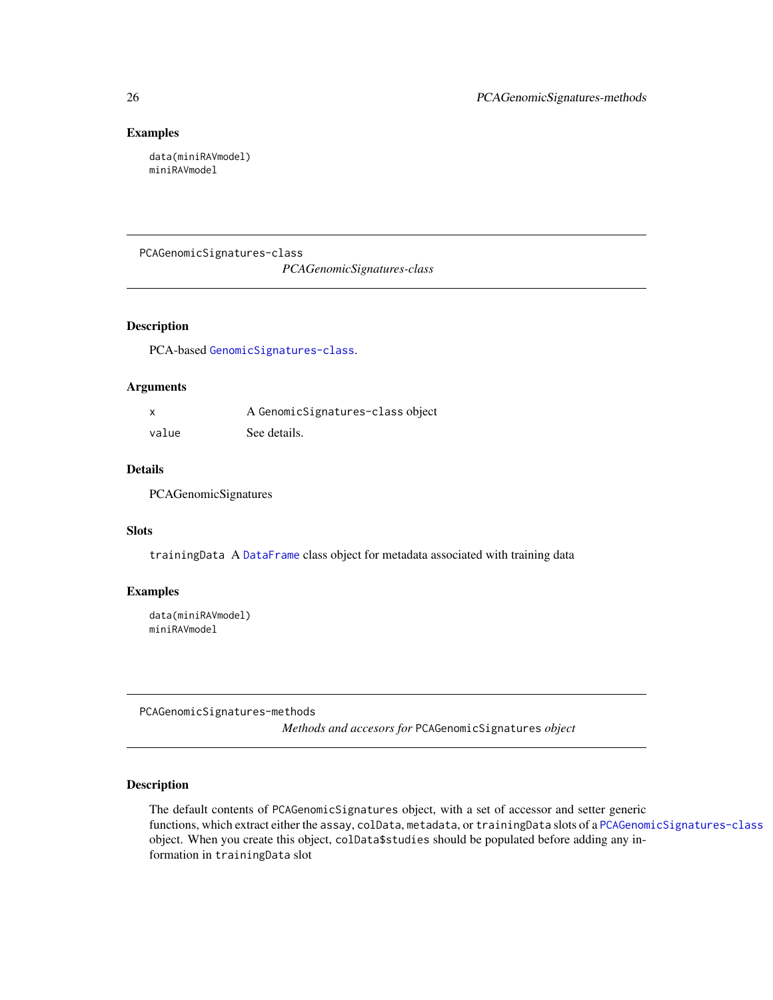#### Examples

data(miniRAVmodel) miniRAVmodel

<span id="page-25-1"></span>PCAGenomicSignatures-class

*PCAGenomicSignatures-class*

# Description

PCA-based [GenomicSignatures-class](#page-13-1).

#### Arguments

|       | A GenomicSignatures-class object |
|-------|----------------------------------|
| value | See details.                     |

#### Details

PCAGenomicSignatures

# Slots

trainingData A [DataFrame](#page-0-0) class object for metadata associated with training data

# Examples

data(miniRAVmodel) miniRAVmodel

PCAGenomicSignatures-methods

*Methods and accesors for* PCAGenomicSignatures *object*

# Description

The default contents of PCAGenomicSignatures object, with a set of accessor and setter generic functions, which extract either the assay, colData, metadata, or trainingData slots of a [PCAGenomicSignatures-class](#page-25-1) object. When you create this object, colData\$studies should be populated before adding any information in trainingData slot

<span id="page-25-0"></span>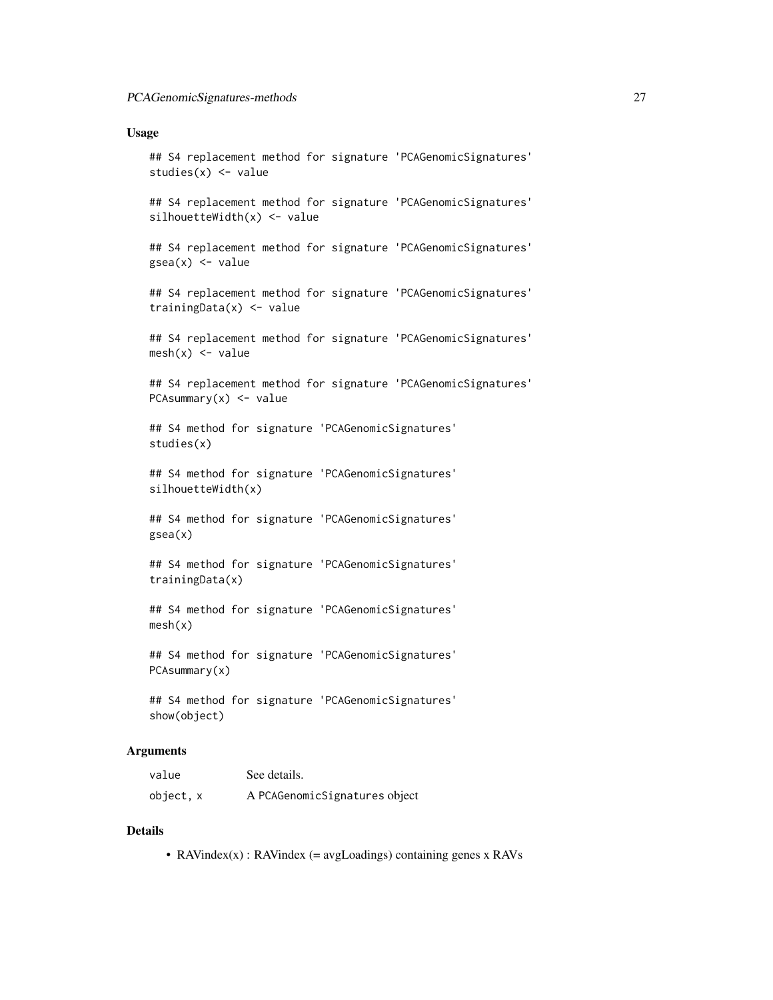#### Usage

```
## S4 replacement method for signature 'PCAGenomicSignatures'
studies(x) <- value
## S4 replacement method for signature 'PCAGenomicSignatures'
silhouetteWidth(x) <- value
## S4 replacement method for signature 'PCAGenomicSignatures'
gsea(x) <- value
## S4 replacement method for signature 'PCAGenomicSignatures'
trainingData(x) <- value
## S4 replacement method for signature 'PCAGenomicSignatures'
mesh(x) <- value
## S4 replacement method for signature 'PCAGenomicSignatures'
PCAsummary(x) < - value## S4 method for signature 'PCAGenomicSignatures'
studies(x)
## S4 method for signature 'PCAGenomicSignatures'
silhouetteWidth(x)
## S4 method for signature 'PCAGenomicSignatures'
gsea(x)
## S4 method for signature 'PCAGenomicSignatures'
trainingData(x)
## S4 method for signature 'PCAGenomicSignatures'
mesh(x)
## S4 method for signature 'PCAGenomicSignatures'
PCAsummary(x)
```
## S4 method for signature 'PCAGenomicSignatures' show(object)

# Arguments

| value     | See details.                  |
|-----------|-------------------------------|
| object, x | A PCAGenomicSignatures object |

#### Details

• RAVindex $(x)$ : RAVindex (= avgLoadings) containing genes x RAVs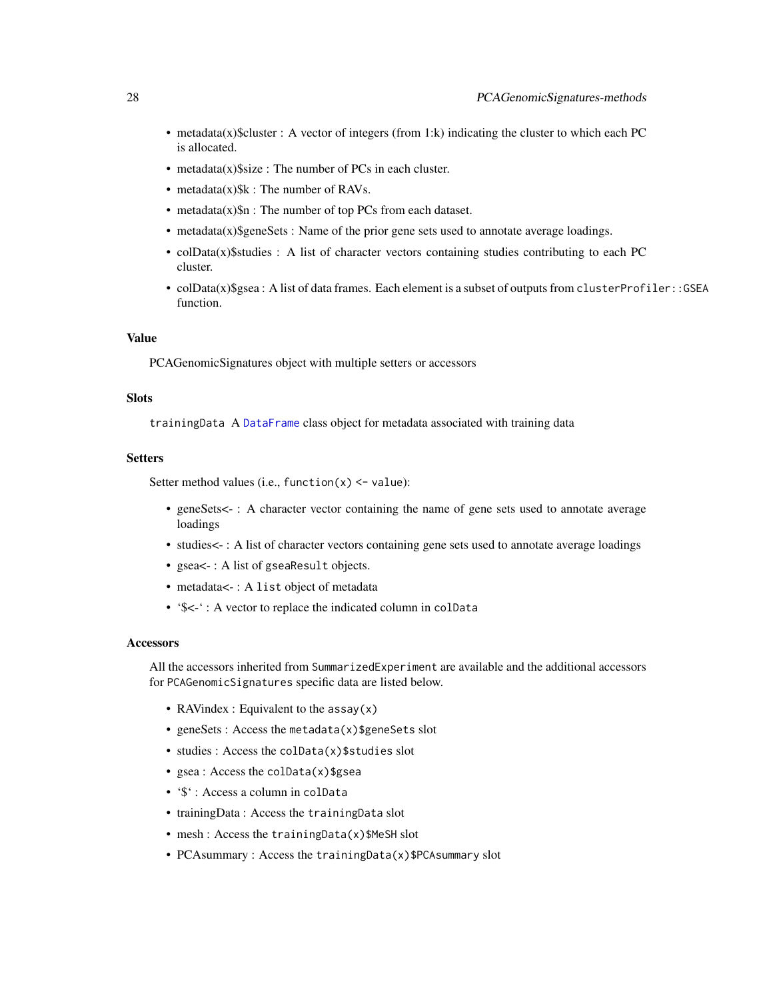- <span id="page-27-0"></span>• metadata(x)\$cluster : A vector of integers (from 1:k) indicating the cluster to which each PC is allocated.
- metadata(x)\$size : The number of PCs in each cluster.
- metadata $(x)$ \$k : The number of RAVs.
- metadata(x)\$n : The number of top PCs from each dataset.
- $\bullet$  metadata(x)\$geneSets : Name of the prior gene sets used to annotate average loadings.
- colData(x)\$studies : A list of character vectors containing studies contributing to each PC cluster.
- colData(x)\$gsea: A list of data frames. Each element is a subset of outputs from clusterProfiler::GSEA function.

#### Value

PCAGenomicSignatures object with multiple setters or accessors

#### **Slots**

trainingData A [DataFrame](#page-0-0) class object for metadata associated with training data

# **Setters**

Setter method values (i.e., function $(x)$  <- value):

- geneSets<-: A character vector containing the name of gene sets used to annotate average loadings
- studies < -: A list of character vectors containing gene sets used to annotate average loadings
- gsea<- : A list of gseaResult objects.
- metadata<-: A list object of metadata
- '\$<-' : A vector to replace the indicated column in colData

#### **Accessors**

All the accessors inherited from SummarizedExperiment are available and the additional accessors for PCAGenomicSignatures specific data are listed below.

- RAVindex : Equivalent to the assay(x)
- geneSets : Access the metadata(x)\$geneSets slot
- studies : Access the colData(x)\$studies slot
- gsea : Access the colData(x)\$gsea
- '\$' : Access a column in colData
- trainingData : Access the trainingData slot
- mesh : Access the trainingData(x)\$MeSH slot
- PCAsummary : Access the trainingData(x)\$PCAsummary slot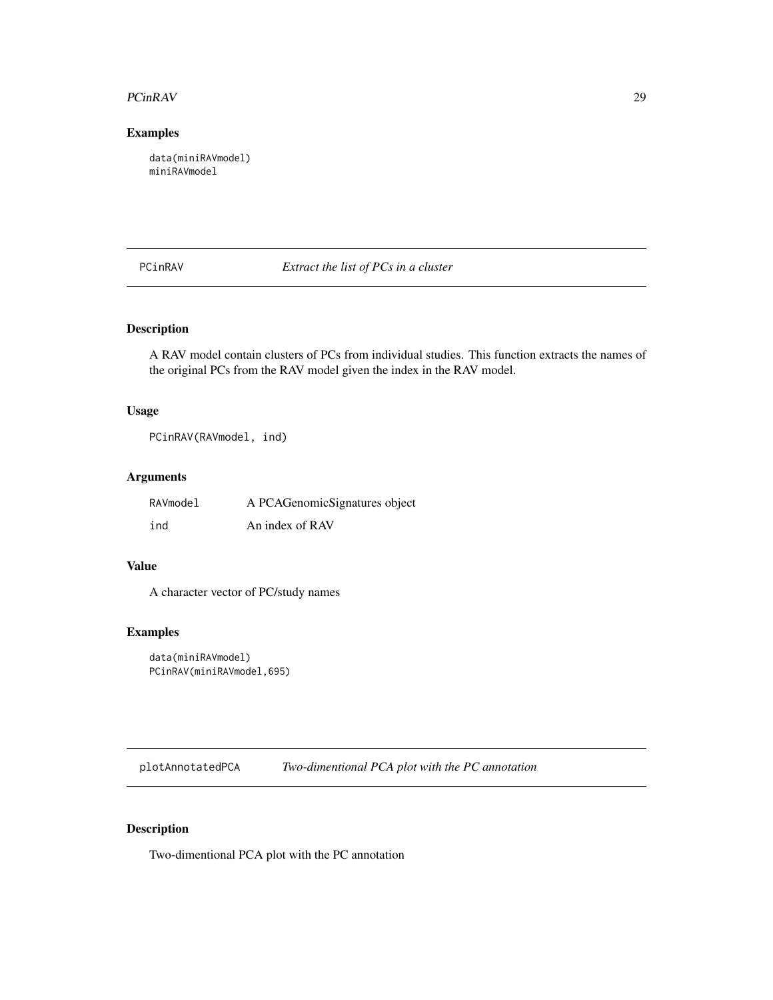#### <span id="page-28-0"></span>PCinRAV 29

# Examples

data(miniRAVmodel) miniRAVmodel

PCinRAV *Extract the list of PCs in a cluster*

# Description

A RAV model contain clusters of PCs from individual studies. This function extracts the names of the original PCs from the RAV model given the index in the RAV model.

# Usage

PCinRAV(RAVmodel, ind)

# Arguments

| RAVmodel | A PCAGenomicSignatures object |
|----------|-------------------------------|
| ind      | An index of RAV               |

# Value

A character vector of PC/study names

# Examples

```
data(miniRAVmodel)
PCinRAV(miniRAVmodel,695)
```
plotAnnotatedPCA *Two-dimentional PCA plot with the PC annotation*

# Description

Two-dimentional PCA plot with the PC annotation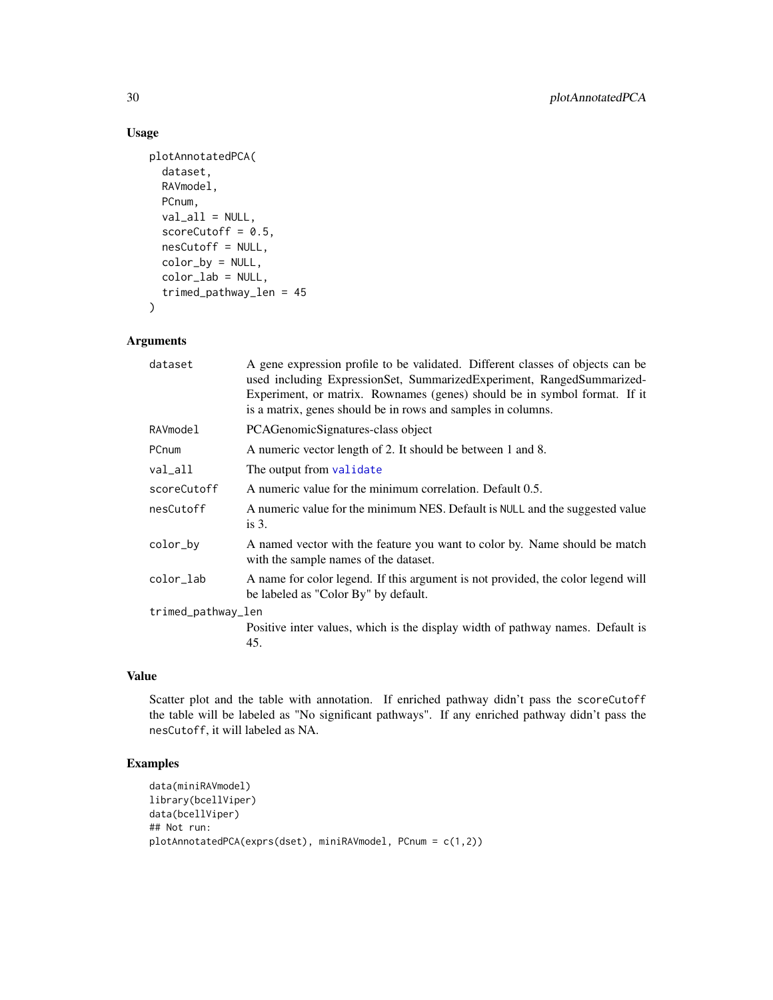# Usage

```
plotAnnotatedPCA(
  dataset,
  RAVmodel,
 PCnum,
  val<sub>_all</sub> = NULL,
  scoreCutoff = 0.5,
  nesCutoff = NULL,
  color_by = NULL,color_lab = NULL,
  trimed_pathway_len = 45
)
```
# Arguments

| A gene expression profile to be validated. Different classes of objects can be<br>used including ExpressionSet, SummarizedExperiment, RangedSummarized-<br>Experiment, or matrix. Rownames (genes) should be in symbol format. If it<br>is a matrix, genes should be in rows and samples in columns. |  |  |
|------------------------------------------------------------------------------------------------------------------------------------------------------------------------------------------------------------------------------------------------------------------------------------------------------|--|--|
| PCAGenomicSignatures-class object                                                                                                                                                                                                                                                                    |  |  |
| A numeric vector length of 2. It should be between 1 and 8.                                                                                                                                                                                                                                          |  |  |
| The output from validate                                                                                                                                                                                                                                                                             |  |  |
| A numeric value for the minimum correlation. Default 0.5.                                                                                                                                                                                                                                            |  |  |
| A numeric value for the minimum NES. Default is NULL and the suggested value<br>is $3$ .                                                                                                                                                                                                             |  |  |
| A named vector with the feature you want to color by. Name should be match<br>with the sample names of the dataset.                                                                                                                                                                                  |  |  |
| A name for color legend. If this argument is not provided, the color legend will<br>be labeled as "Color By" by default.                                                                                                                                                                             |  |  |
| trimed_pathway_len                                                                                                                                                                                                                                                                                   |  |  |
| Positive inter values, which is the display width of pathway names. Default is<br>45.                                                                                                                                                                                                                |  |  |
|                                                                                                                                                                                                                                                                                                      |  |  |

# Value

Scatter plot and the table with annotation. If enriched pathway didn't pass the scoreCutoff the table will be labeled as "No significant pathways". If any enriched pathway didn't pass the nesCutoff, it will labeled as NA.

# Examples

```
data(miniRAVmodel)
library(bcellViper)
data(bcellViper)
## Not run:
plotAnnotatedPCA(exprs(dset), miniRAVmodel, PCnum = c(1,2))
```
<span id="page-29-0"></span>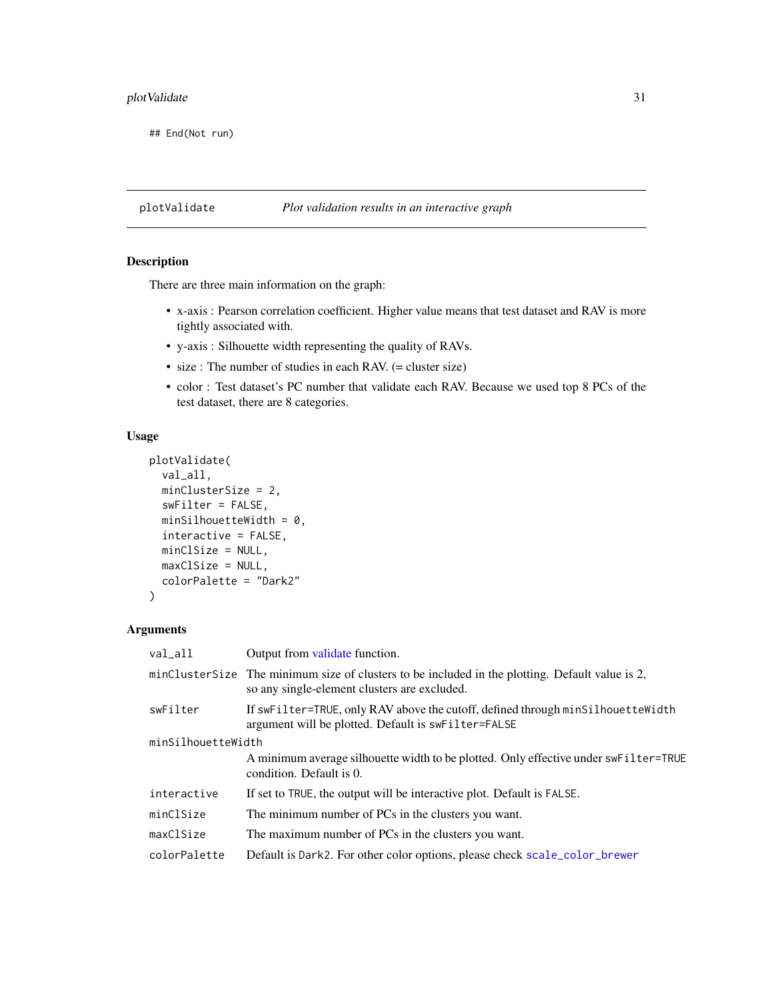# <span id="page-30-0"></span>plotValidate 31

## End(Not run)

# plotValidate *Plot validation results in an interactive graph*

# Description

There are three main information on the graph:

- x-axis : Pearson correlation coefficient. Higher value means that test dataset and RAV is more tightly associated with.
- y-axis : Silhouette width representing the quality of RAVs.
- size : The number of studies in each RAV. (= cluster size)
- color : Test dataset's PC number that validate each RAV. Because we used top 8 PCs of the test dataset, there are 8 categories.

#### Usage

```
plotValidate(
  val_all,
 minClusterSize = 2,
  swFilter = FALSE,
 minSilhouetteWidth = 0,interactive = FALSE,
 minClSize = NULL,
 maxClSize = NULL,
  colorPalette = "Dark2"
)
```
#### Arguments

| Output from validate function.                                                                                                                  |  |  |
|-------------------------------------------------------------------------------------------------------------------------------------------------|--|--|
| minClusterSize The minimum size of clusters to be included in the plotting. Default value is 2,<br>so any single-element clusters are excluded. |  |  |
| If swFilter=TRUE, only RAV above the cutoff, defined through minSilhouetteWidth<br>argument will be plotted. Default is swFilter=FALSE          |  |  |
| minSilhouetteWidth                                                                                                                              |  |  |
| A minimum average silhouette width to be plotted. Only effective under swFilter=TRUE<br>condition. Default is 0.                                |  |  |
| If set to TRUE, the output will be interactive plot. Default is FALSE.                                                                          |  |  |
| The minimum number of PCs in the clusters you want.                                                                                             |  |  |
| The maximum number of PCs in the clusters you want.                                                                                             |  |  |
| Default is Dark2. For other color options, please check scale_color_brewer                                                                      |  |  |
|                                                                                                                                                 |  |  |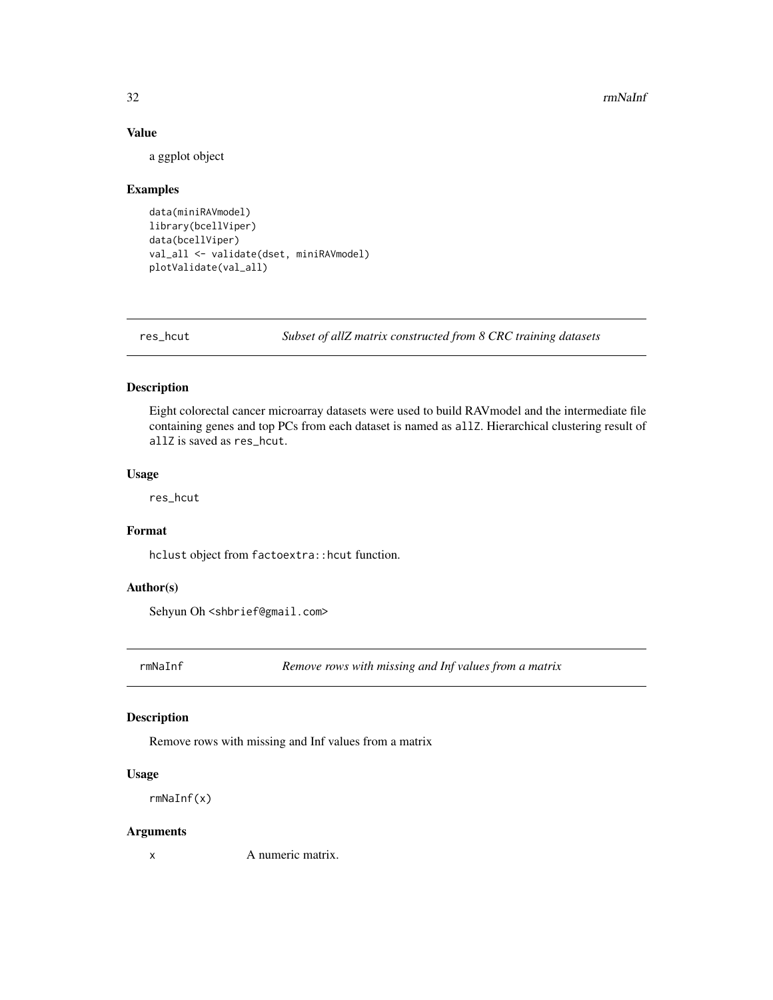# Value

a ggplot object

# Examples

```
data(miniRAVmodel)
library(bcellViper)
data(bcellViper)
val_all <- validate(dset, miniRAVmodel)
plotValidate(val_all)
```
res\_hcut *Subset of allZ matrix constructed from 8 CRC training datasets*

#### Description

Eight colorectal cancer microarray datasets were used to build RAVmodel and the intermediate file containing genes and top PCs from each dataset is named as allZ. Hierarchical clustering result of allZ is saved as res\_hcut.

# Usage

res\_hcut

# Format

hclust object from factoextra:: hcut function.

#### Author(s)

Sehyun Oh <shbrief@gmail.com>

rmNaInf *Remove rows with missing and Inf values from a matrix*

# Description

Remove rows with missing and Inf values from a matrix

#### Usage

rmNaInf(x)

#### Arguments

x A numeric matrix.

<span id="page-31-0"></span>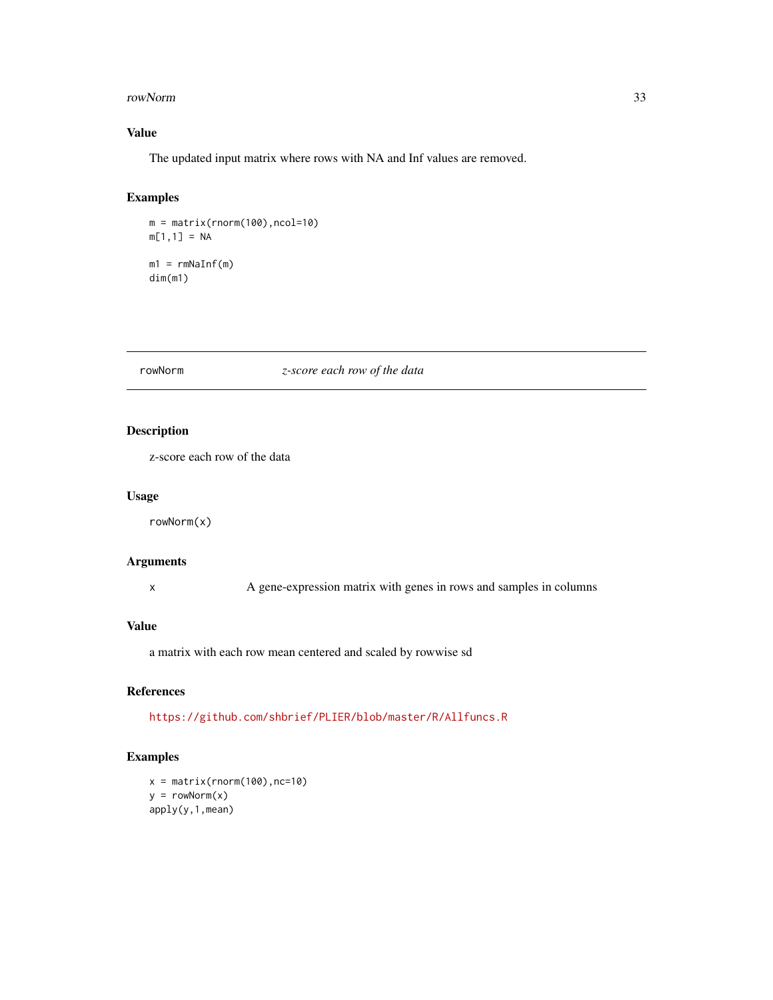#### <span id="page-32-0"></span>rowNorm 33

# Value

The updated input matrix where rows with NA and Inf values are removed.

# Examples

m = matrix(rnorm(100),ncol=10)  $m[1,1] = NA$  $m1 = r mNaInf(m)$ dim(m1)

#### <span id="page-32-1"></span>rowNorm *z-score each row of the data*

# Description

z-score each row of the data

#### Usage

rowNorm(x)

# Arguments

x A gene-expression matrix with genes in rows and samples in columns

#### Value

a matrix with each row mean centered and scaled by rowwise sd

#### References

<https://github.com/shbrief/PLIER/blob/master/R/Allfuncs.R>

#### Examples

 $x = matrix(rnorm(100), nc=10)$  $y = rowNorm(x)$ apply(y,1,mean)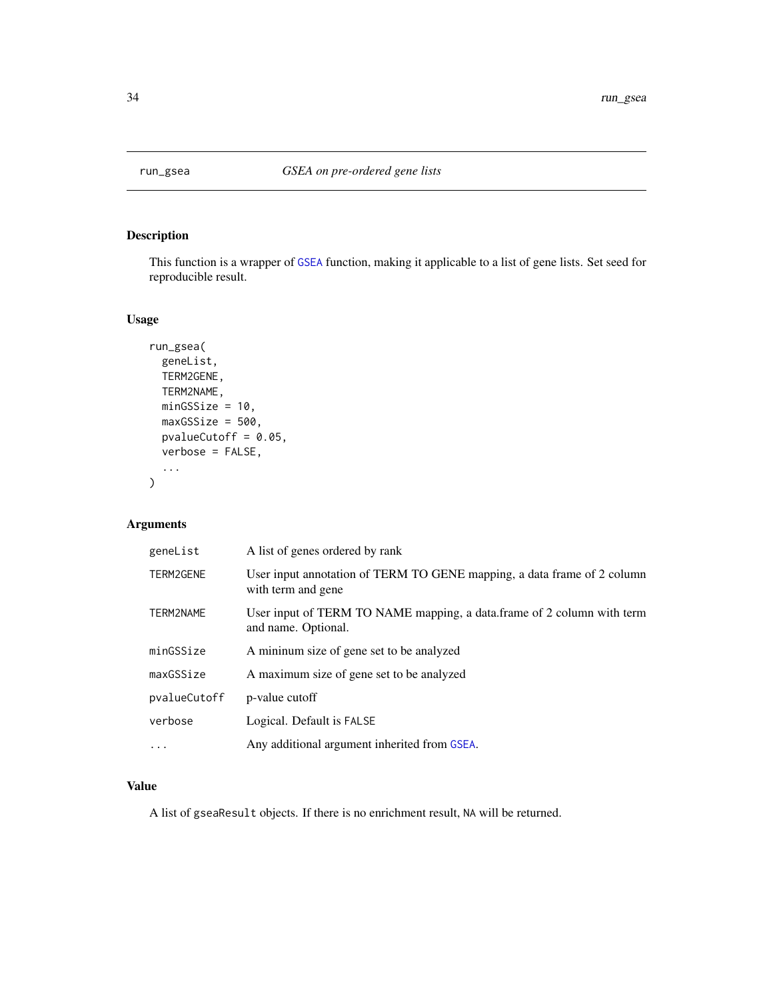<span id="page-33-0"></span>

# Description

This function is a wrapper of [GSEA](#page-0-0) function, making it applicable to a list of gene lists. Set seed for reproducible result.

### Usage

```
run_gsea(
  geneList,
 TERM2GENE,
 TERM2NAME,
 minGSSize = 10,
 maxGSsize = 500,
 pvalueCutoff = 0.05,
 verbose = FALSE,
  ...
)
```
# Arguments

| geneList     | A list of genes ordered by rank                                                               |
|--------------|-----------------------------------------------------------------------------------------------|
| TERM2GENE    | User input annotation of TERM TO GENE mapping, a data frame of 2 column<br>with term and gene |
| TERM2NAME    | User input of TERM TO NAME mapping, a data.frame of 2 column with term<br>and name. Optional. |
| minGSSize    | A minimum size of gene set to be analyzed                                                     |
| maxGSSize    | A maximum size of gene set to be analyzed                                                     |
| pvalueCutoff | p-value cutoff                                                                                |
| verbose      | Logical. Default is FALSE                                                                     |
| $\ddots$ .   | Any additional argument inherited from GSEA.                                                  |

#### Value

A list of gseaResult objects. If there is no enrichment result, NA will be returned.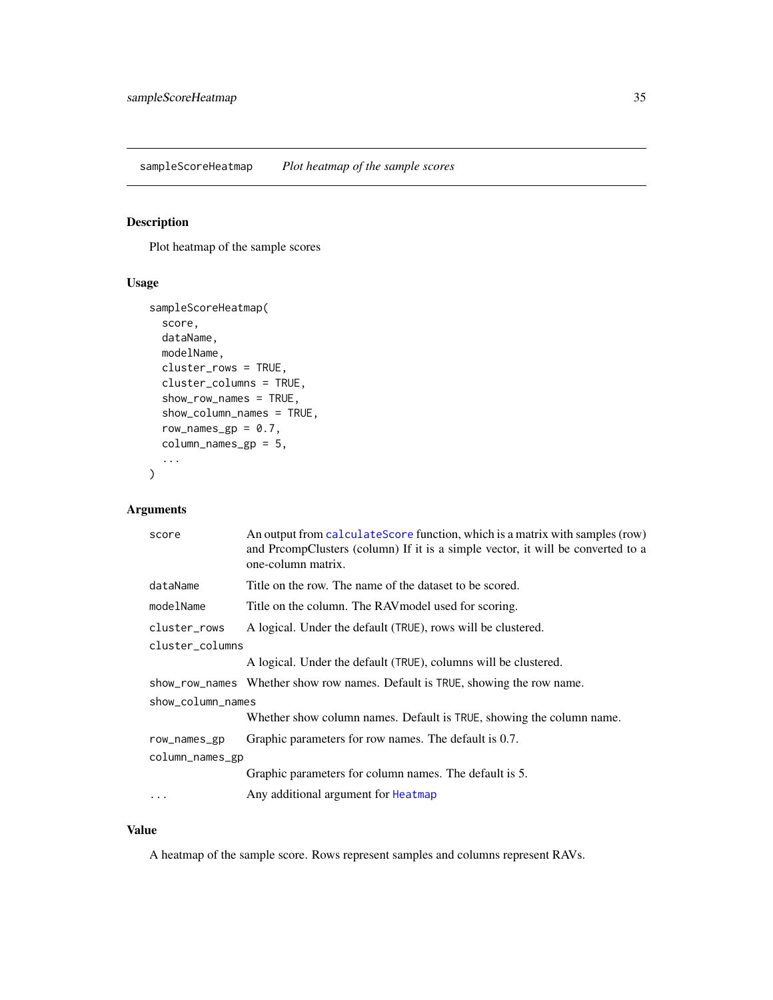<span id="page-34-0"></span>sampleScoreHeatmap *Plot heatmap of the sample scores*

# Description

Plot heatmap of the sample scores

#### Usage

```
sampleScoreHeatmap(
  score,
  dataName,
  modelName,
  cluster_rows = TRUE,
  cluster_columns = TRUE,
  show_row_names = TRUE,
  show_column_names = TRUE,
  row_names_gp = 0.7,
  column_names_gp = 5,
  ...
\overline{\phantom{a}}
```
# Arguments

| score             | An output from calculate Score function, which is a matrix with samples (row)<br>and PrcompClusters (column) If it is a simple vector, it will be converted to a<br>one-column matrix. |  |
|-------------------|----------------------------------------------------------------------------------------------------------------------------------------------------------------------------------------|--|
| dataName          | Title on the row. The name of the dataset to be scored.                                                                                                                                |  |
| modelName         | Title on the column. The RAV model used for scoring.                                                                                                                                   |  |
| cluster_rows      | A logical. Under the default (TRUE), rows will be clustered.                                                                                                                           |  |
| cluster_columns   |                                                                                                                                                                                        |  |
|                   | A logical. Under the default (TRUE), columns will be clustered.                                                                                                                        |  |
|                   | show_row_names Whether show row names. Default is TRUE, showing the row name.                                                                                                          |  |
| show_column_names |                                                                                                                                                                                        |  |
|                   | Whether show column names. Default is TRUE, showing the column name.                                                                                                                   |  |
| row_names_gp      | Graphic parameters for row names. The default is 0.7.                                                                                                                                  |  |
| column_names_gp   |                                                                                                                                                                                        |  |
|                   | Graphic parameters for column names. The default is 5.                                                                                                                                 |  |
| .                 | Any additional argument for Heatmap                                                                                                                                                    |  |
|                   |                                                                                                                                                                                        |  |

#### Value

A heatmap of the sample score. Rows represent samples and columns represent RAVs.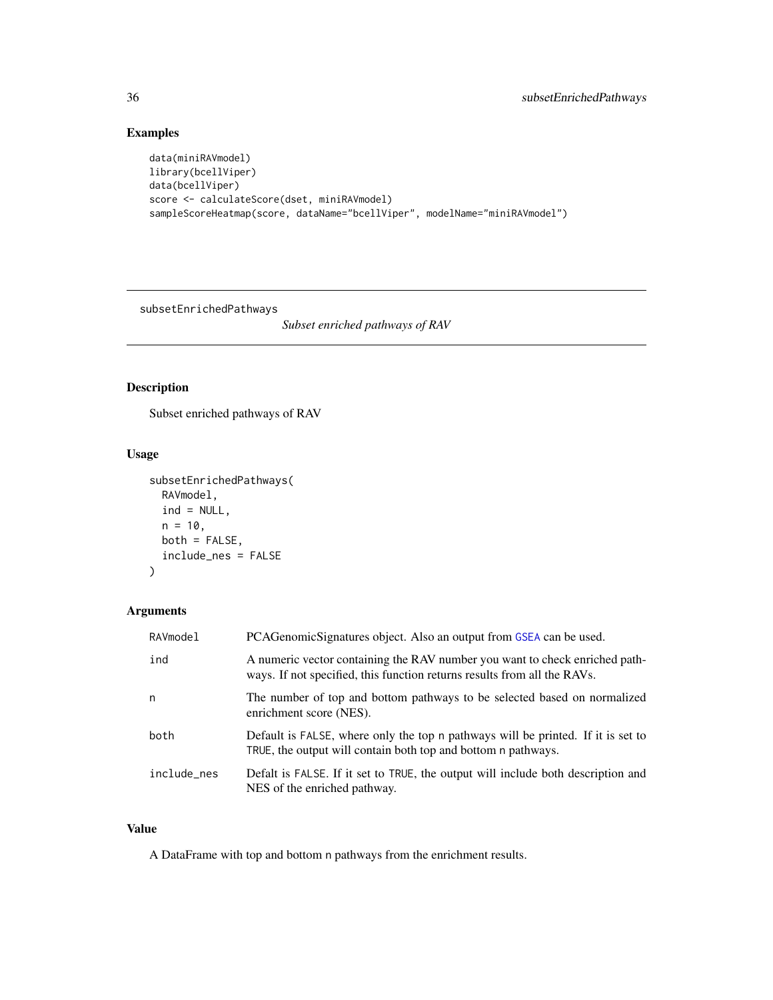# Examples

```
data(miniRAVmodel)
library(bcellViper)
data(bcellViper)
score <- calculateScore(dset, miniRAVmodel)
sampleScoreHeatmap(score, dataName="bcellViper", modelName="miniRAVmodel")
```
subsetEnrichedPathways

*Subset enriched pathways of RAV*

# Description

Subset enriched pathways of RAV

# Usage

```
subsetEnrichedPathways(
 RAVmodel,
 ind = NULL,n = 10,
 both = FALSE,
  include_nes = FALSE
)
```
# Arguments

| RAVmodel    | PCAGenomicSignatures object. Also an output from GSEA can be used.                                                                                      |
|-------------|---------------------------------------------------------------------------------------------------------------------------------------------------------|
| ind         | A numeric vector containing the RAV number you want to check enriched path-<br>ways. If not specified, this function returns results from all the RAVs. |
| n           | The number of top and bottom pathways to be selected based on normalized<br>enrichment score (NES).                                                     |
| both        | Default is FALSE, where only the top n pathways will be printed. If it is set to<br>TRUE, the output will contain both top and bottom n pathways.       |
| include_nes | Defalt is FALSE. If it set to TRUE, the output will include both description and<br>NES of the enriched pathway.                                        |

# Value

A DataFrame with top and bottom n pathways from the enrichment results.

<span id="page-35-0"></span>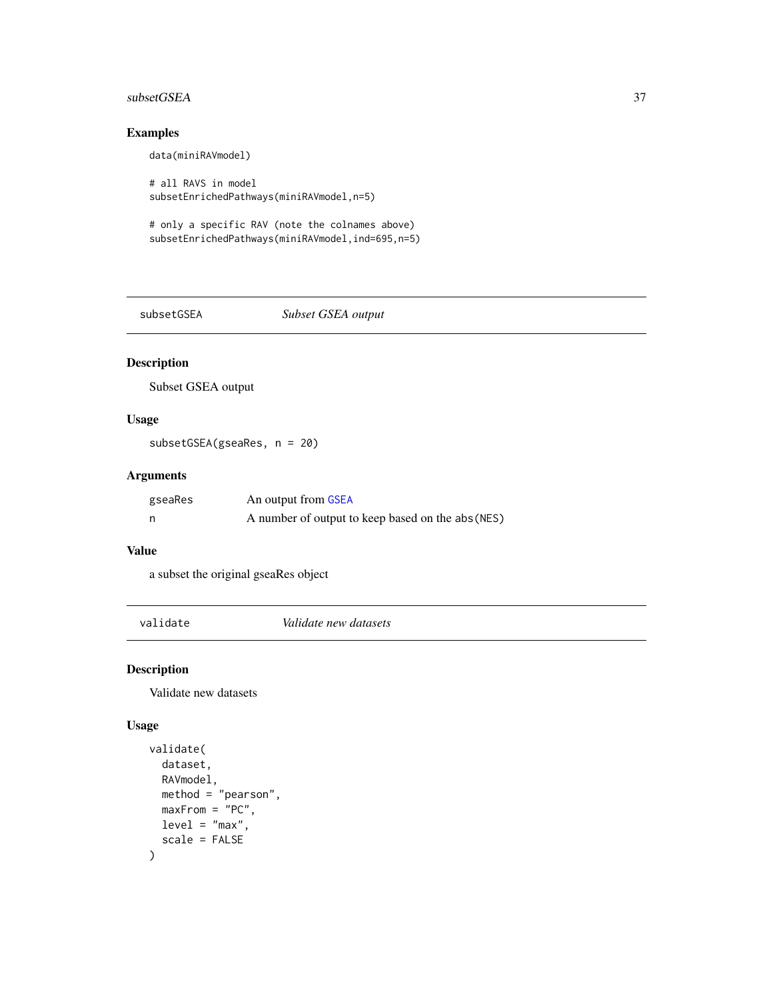# <span id="page-36-0"></span>subsetGSEA 37

# Examples

data(miniRAVmodel)

# all RAVS in model subsetEnrichedPathways(miniRAVmodel,n=5)

# only a specific RAV (note the colnames above) subsetEnrichedPathways(miniRAVmodel,ind=695,n=5)

subsetGSEA *Subset GSEA output*

# Description

Subset GSEA output

#### Usage

subsetGSEA(gseaRes, n = 20)

# Arguments

| gseaRes | An output from GSEA                               |
|---------|---------------------------------------------------|
| n       | A number of output to keep based on the abs (NES) |

#### Value

a subset the original gseaRes object

<span id="page-36-1"></span>validate *Validate new datasets*

#### Description

Validate new datasets

```
validate(
  dataset,
  RAVmodel,
  method = "pearson",
  maxFrom = "PC",level = "max",scale = FALSE
\mathcal{E}
```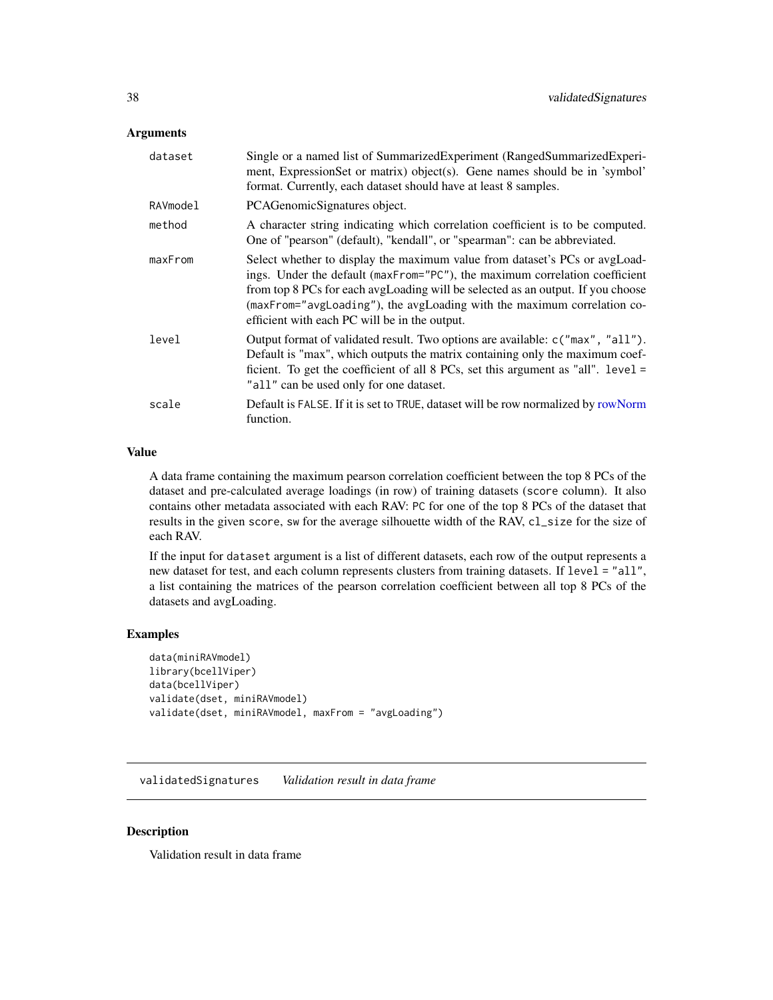#### <span id="page-37-0"></span>**Arguments**

| dataset  | Single or a named list of SummarizedExperiment (RangedSummarizedExperi-<br>ment, ExpressionSet or matrix) object(s). Gene names should be in 'symbol'<br>format. Currently, each dataset should have at least 8 samples.                                                                                                                                                 |
|----------|--------------------------------------------------------------------------------------------------------------------------------------------------------------------------------------------------------------------------------------------------------------------------------------------------------------------------------------------------------------------------|
| RAVmodel | PCAGenomicSignatures object.                                                                                                                                                                                                                                                                                                                                             |
| method   | A character string indicating which correlation coefficient is to be computed.<br>One of "pearson" (default), "kendall", or "spearman": can be abbreviated.                                                                                                                                                                                                              |
| maxFrom  | Select whether to display the maximum value from dataset's PCs or avgLoad-<br>ings. Under the default (maxFrom="PC"), the maximum correlation coefficient<br>from top 8 PCs for each avgLoading will be selected as an output. If you choose<br>(maxFrom="avgLoading"), the avgLoading with the maximum correlation co-<br>efficient with each PC will be in the output. |
| level    | Output format of validated result. Two options are available: c("max", "all").<br>Default is "max", which outputs the matrix containing only the maximum coef-<br>ficient. To get the coefficient of all $8$ PCs, set this argument as "all". level =<br>"all" can be used only for one dataset.                                                                         |
| scale    | Default is FALSE. If it is set to TRUE, dataset will be row normalized by rowNorm<br>function.                                                                                                                                                                                                                                                                           |

# Value

A data frame containing the maximum pearson correlation coefficient between the top 8 PCs of the dataset and pre-calculated average loadings (in row) of training datasets (score column). It also contains other metadata associated with each RAV: PC for one of the top 8 PCs of the dataset that results in the given score, sw for the average silhouette width of the RAV, cl\_size for the size of each RAV.

If the input for dataset argument is a list of different datasets, each row of the output represents a new dataset for test, and each column represents clusters from training datasets. If level = "all", a list containing the matrices of the pearson correlation coefficient between all top 8 PCs of the datasets and avgLoading.

# Examples

```
data(miniRAVmodel)
library(bcellViper)
data(bcellViper)
validate(dset, miniRAVmodel)
validate(dset, miniRAVmodel, maxFrom = "avgLoading")
```
validatedSignatures *Validation result in data frame*

#### Description

Validation result in data frame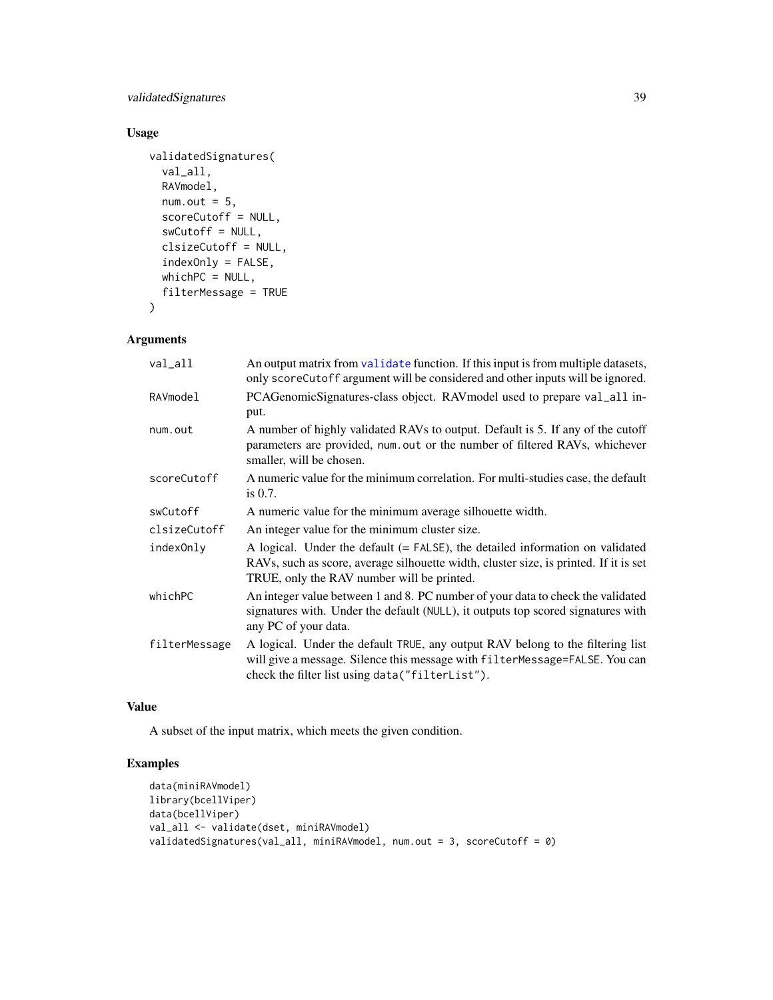<span id="page-38-0"></span>validatedSignatures 39

# Usage

```
validatedSignatures(
  val_all,
 RAVmodel,
 num.out = 5,
  scoreCutoff = NULL,
  swCutoff = NULL,
  clsizeCutoff = NULL,
  indexOnly = FALSE,
 whichPC = NULL,
  filterMessage = TRUE
)
```
# Arguments

| val_all       | An output matrix from validate function. If this input is from multiple datasets,<br>only scoreCutoff argument will be considered and other inputs will be ignored.                                                     |
|---------------|-------------------------------------------------------------------------------------------------------------------------------------------------------------------------------------------------------------------------|
| RAVmodel      | PCAGenomicSignatures-class object. RAV model used to prepare val_all in-<br>put.                                                                                                                                        |
| num.out       | A number of highly validated RAVs to output. Default is 5. If any of the cutoff<br>parameters are provided, num.out or the number of filtered RAVs, whichever<br>smaller, will be chosen.                               |
| scoreCutoff   | A numeric value for the minimum correlation. For multi-studies case, the default<br>is $0.7$ .                                                                                                                          |
| swCutoff      | A numeric value for the minimum average silhouette width.                                                                                                                                                               |
| clsizeCutoff  | An integer value for the minimum cluster size.                                                                                                                                                                          |
| indexOnly     | A logical. Under the default $(= FALSE)$ , the detailed information on validated<br>RAVs, such as score, average silhouette width, cluster size, is printed. If it is set<br>TRUE, only the RAV number will be printed. |
| whichPC       | An integer value between 1 and 8. PC number of your data to check the validated<br>signatures with. Under the default (NULL), it outputs top scored signatures with<br>any PC of your data.                             |
| filterMessage | A logical. Under the default TRUE, any output RAV belong to the filtering list<br>will give a message. Silence this message with filterMessage=FALSE. You can<br>check the filter list using data("filterList").        |

# Value

A subset of the input matrix, which meets the given condition.

# Examples

```
data(miniRAVmodel)
library(bcellViper)
data(bcellViper)
val_all <- validate(dset, miniRAVmodel)
validatedSignatures(val_all, miniRAVmodel, num.out = 3, scoreCutoff = 0)
```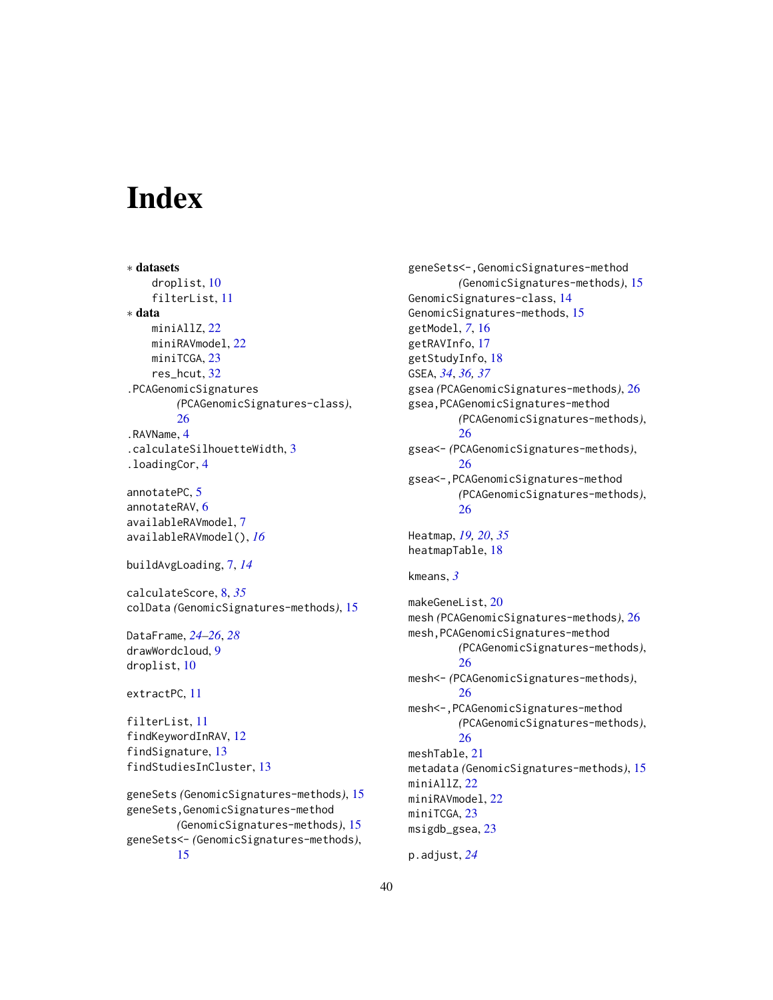# <span id="page-39-0"></span>**Index**

∗ datasets droplist, [10](#page-9-0) filterList, [11](#page-10-0) ∗ data miniAllZ, [22](#page-21-0) miniRAVmodel, [22](#page-21-0) miniTCGA, [23](#page-22-0) res\_hcut, [32](#page-31-0) .PCAGenomicSignatures *(*PCAGenomicSignatures-class*)*, [26](#page-25-0) .RAVName, [4](#page-3-0) .calculateSilhouetteWidth, [3](#page-2-0) .loadingCor, [4](#page-3-0)

annotatePC, [5](#page-4-0) annotateRAV, [6](#page-5-0) availableRAVmodel, [7](#page-6-0) availableRAVmodel(), *[16](#page-15-0)*

```
buildAvgLoading, 7, 14
```
calculateScore, [8,](#page-7-0) *[35](#page-34-0)* colData *(*GenomicSignatures-methods*)*, [15](#page-14-0)

DataFrame, *[24](#page-23-0)[–26](#page-25-0)*, *[28](#page-27-0)* drawWordcloud, [9](#page-8-0) droplist, [10](#page-9-0)

```
extractPC, 11
```
filterList, [11](#page-10-0) findKeywordInRAV, [12](#page-11-0) findSignature, [13](#page-12-0) findStudiesInCluster, [13](#page-12-0)

```
geneSets (GenomicSignatures-methods), 15
geneSets,GenomicSignatures-method
        (GenomicSignatures-methods), 15
geneSets<- (GenomicSignatures-methods),
        15
```
geneSets<-,GenomicSignatures-method *(*GenomicSignatures-methods*)*, [15](#page-14-0) GenomicSignatures-class, [14](#page-13-0) GenomicSignatures-methods, [15](#page-14-0) getModel, *[7](#page-6-0)*, [16](#page-15-0) getRAVInfo, [17](#page-16-0) getStudyInfo, [18](#page-17-0) GSEA, *[34](#page-33-0)*, *[36,](#page-35-0) [37](#page-36-0)* gsea *(*PCAGenomicSignatures-methods*)*, [26](#page-25-0) gsea,PCAGenomicSignatures-method *(*PCAGenomicSignatures-methods*)*, [26](#page-25-0) gsea<- *(*PCAGenomicSignatures-methods*)*, [26](#page-25-0) gsea<-,PCAGenomicSignatures-method *(*PCAGenomicSignatures-methods*)*, [26](#page-25-0) Heatmap, *[19,](#page-18-0) [20](#page-19-0)*, *[35](#page-34-0)* heatmapTable, [18](#page-17-0) kmeans, *[3](#page-2-0)* makeGeneList, [20](#page-19-0) mesh *(*PCAGenomicSignatures-methods*)*, [26](#page-25-0) mesh,PCAGenomicSignatures-method *(*PCAGenomicSignatures-methods*)*, [26](#page-25-0) mesh<- *(*PCAGenomicSignatures-methods*)*, [26](#page-25-0) mesh<-,PCAGenomicSignatures-method *(*PCAGenomicSignatures-methods*)*, [26](#page-25-0) meshTable, [21](#page-20-0) metadata *(*GenomicSignatures-methods*)*, [15](#page-14-0) miniAllZ, [22](#page-21-0) miniRAVmodel, [22](#page-21-0) miniTCGA, [23](#page-22-0) msigdb\_gsea, [23](#page-22-0)

```
p.adjust, 24
```